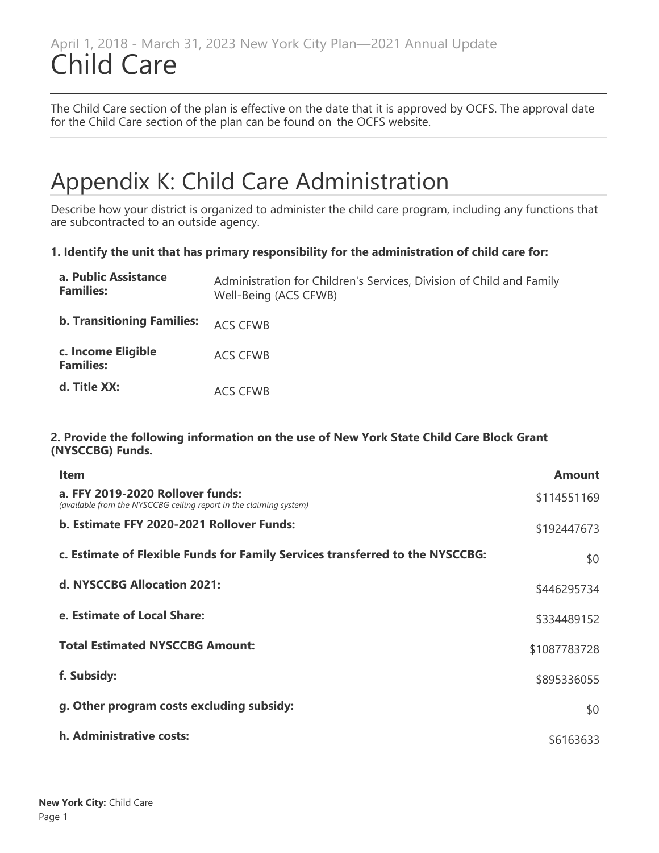## April 1, 2018 - March 31, 2023 New York City Plan—2021 Annual Update Child Care

The Child Care section of the plan is effective on the date that it is approved by OCFS. The approval date for the Child Care section of the plan can be found on [the OCFS website](https://ocfs.ny.gov/programs/childcare/plans/).

## Appendix K: Child Care Administration

Describe how your district is organized to administer the child care program, including any functions that are subcontracted to an outside agency.

#### **1. Identify the unit that has primary responsibility for the administration of child care for:**

| a. Public Assistance<br><b>Families:</b> | Administration for Children's Services, Division of Child and Family<br>Well-Being (ACS CFWB) |
|------------------------------------------|-----------------------------------------------------------------------------------------------|
| <b>b. Transitioning Families:</b>        | <b>ACS CFWB</b>                                                                               |
| c. Income Eligible<br><b>Families:</b>   | ACS CFWB                                                                                      |
| d. Title XX:                             | <b>ACS CFWB</b>                                                                               |

#### **2. Provide the following information on the use of New York State Child Care Block Grant (NYSCCBG) Funds.**

| <b>Item</b>                                                                                            | <b>Amount</b> |
|--------------------------------------------------------------------------------------------------------|---------------|
| a. FFY 2019-2020 Rollover funds:<br>(available from the NYSCCBG ceiling report in the claiming system) | \$114551169   |
| b. Estimate FFY 2020-2021 Rollover Funds:                                                              | \$192447673   |
| c. Estimate of Flexible Funds for Family Services transferred to the NYSCCBG:                          | \$0           |
| d. NYSCCBG Allocation 2021:                                                                            | \$446295734   |
| e. Estimate of Local Share:                                                                            | \$334489152   |
| <b>Total Estimated NYSCCBG Amount:</b>                                                                 | \$1087783728  |
| f. Subsidy:                                                                                            | \$895336055   |
| g. Other program costs excluding subsidy:                                                              | \$0           |
| h. Administrative costs:                                                                               | \$6163633     |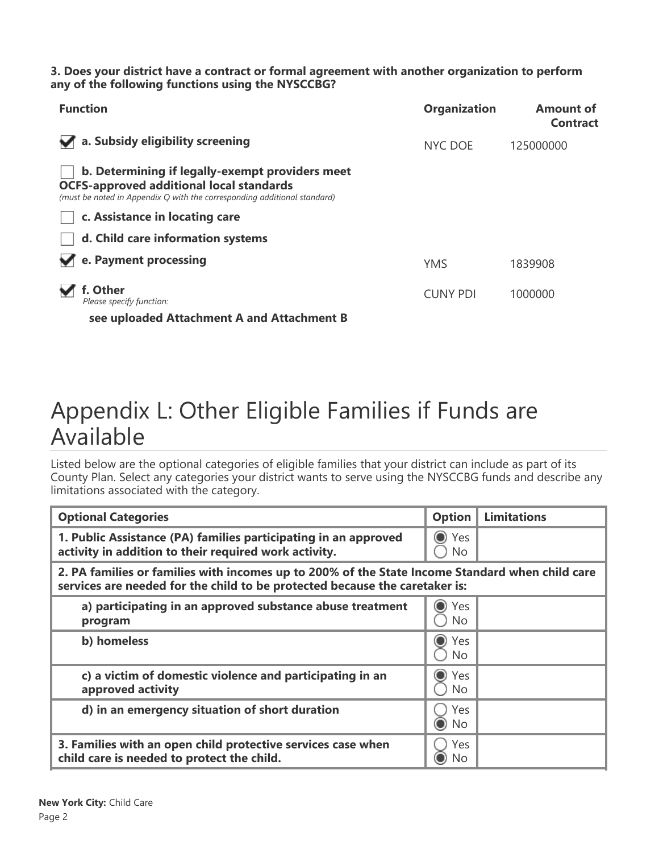#### **3. Does your district have a contract or formal agreement with another organization to perform any of the following functions using the NYSCCBG?**

| <b>Function</b>                                                                                                                                                                | <b>Organization</b> | <b>Amount of</b><br><b>Contract</b> |
|--------------------------------------------------------------------------------------------------------------------------------------------------------------------------------|---------------------|-------------------------------------|
| a. Subsidy eligibility screening                                                                                                                                               | NYC DOE             | 125000000                           |
| b. Determining if legally-exempt providers meet<br><b>OCFS-approved additional local standards</b><br>(must be noted in Appendix Q with the corresponding additional standard) |                     |                                     |
| c. Assistance in locating care                                                                                                                                                 |                     |                                     |
| d. Child care information systems                                                                                                                                              |                     |                                     |
| e. Payment processing                                                                                                                                                          | <b>YMS</b>          | 1839908                             |
| f. Other<br>Please specify function:                                                                                                                                           | <b>CUNY PDI</b>     | 1000000                             |
| see uploaded Attachment A and Attachment B                                                                                                                                     |                     |                                     |

## Appendix L: Other Eligible Families if Funds are Available

Listed below are the optional categories of eligible families that your district can include as part of its County Plan. Select any categories your district wants to serve using the NYSCCBG funds and describe any limitations associated with the category.

| <b>Optional Categories</b>                                                                                                                                                     | <b>Option</b>            | <b>Limitations</b> |
|--------------------------------------------------------------------------------------------------------------------------------------------------------------------------------|--------------------------|--------------------|
| 1. Public Assistance (PA) families participating in an approved<br>activity in addition to their required work activity.                                                       | ◯ Yes<br>No              |                    |
| 2. PA families or families with incomes up to 200% of the State Income Standard when child care<br>services are needed for the child to be protected because the caretaker is: |                          |                    |
| a) participating in an approved substance abuse treatment<br>program                                                                                                           | Yes<br>No                |                    |
| b) homeless                                                                                                                                                                    | $\mathbf O$<br>Yes<br>No |                    |
| c) a victim of domestic violence and participating in an<br>approved activity                                                                                                  | ● Yes<br>No              |                    |
| d) in an emergency situation of short duration                                                                                                                                 | Yes<br>$\odot$ No        |                    |
| 3. Families with an open child protective services case when<br>child care is needed to protect the child.                                                                     | Yes<br>$\odot$ No        |                    |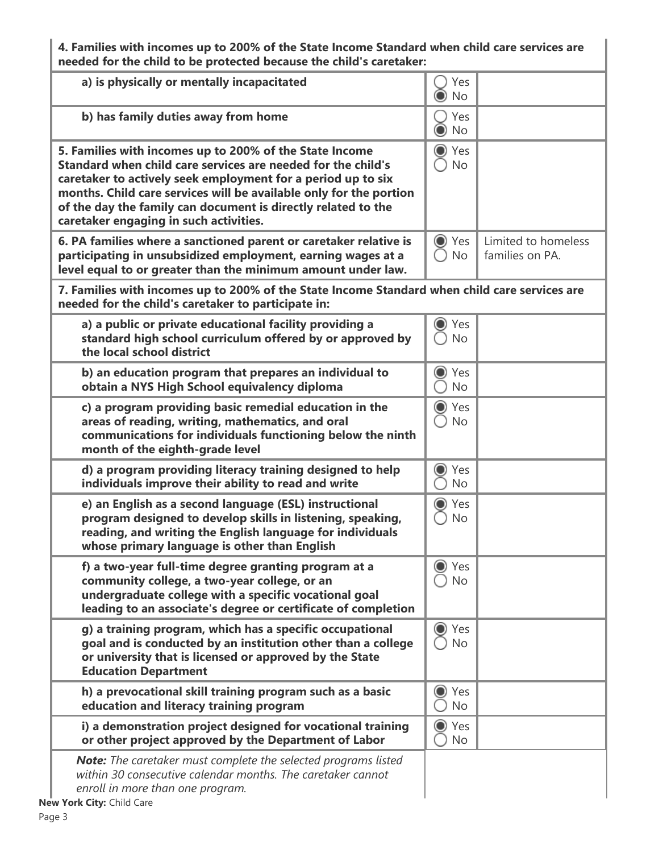**4. Families with incomes up to 200% of the State Income Standard when child care services are needed for the child to be protected because the child's caretaker:**

| a) is physically or mentally incapacitated                                                                                                                                                                                                                                                                                                                               | Yes<br><b>No</b>        |                                        |
|--------------------------------------------------------------------------------------------------------------------------------------------------------------------------------------------------------------------------------------------------------------------------------------------------------------------------------------------------------------------------|-------------------------|----------------------------------------|
| b) has family duties away from home                                                                                                                                                                                                                                                                                                                                      | Yes<br><b>No</b>        |                                        |
| 5. Families with incomes up to 200% of the State Income<br>Standard when child care services are needed for the child's<br>caretaker to actively seek employment for a period up to six<br>months. Child care services will be available only for the portion<br>of the day the family can document is directly related to the<br>caretaker engaging in such activities. | ◯ Yes<br><b>No</b>      |                                        |
| 6. PA families where a sanctioned parent or caretaker relative is<br>participating in unsubsidized employment, earning wages at a<br>level equal to or greater than the minimum amount under law.                                                                                                                                                                        | ◯ Yes<br><b>No</b>      | Limited to homeless<br>families on PA. |
| 7. Families with incomes up to 200% of the State Income Standard when child care services are<br>needed for the child's caretaker to participate in:                                                                                                                                                                                                                     |                         |                                        |
| a) a public or private educational facility providing a<br>standard high school curriculum offered by or approved by<br>the local school district                                                                                                                                                                                                                        | ◯ Yes<br><b>No</b>      |                                        |
| b) an education program that prepares an individual to<br>obtain a NYS High School equivalency diploma                                                                                                                                                                                                                                                                   | ◯ Yes<br><b>No</b>      |                                        |
| c) a program providing basic remedial education in the<br>areas of reading, writing, mathematics, and oral<br>communications for individuals functioning below the ninth<br>month of the eighth-grade level                                                                                                                                                              | ◯ Yes<br><b>No</b>      |                                        |
| d) a program providing literacy training designed to help<br>individuals improve their ability to read and write                                                                                                                                                                                                                                                         | ◯ Yes<br><b>No</b>      |                                        |
| e) an English as a second language (ESL) instructional<br>program designed to develop skills in listening, speaking,<br>reading, and writing the English language for individuals<br>whose primary language is other than English                                                                                                                                        | O Yes<br><b>No</b>      |                                        |
| f) a two-year full-time degree granting program at a<br>community college, a two-year college, or an<br>undergraduate college with a specific vocational goal<br>leading to an associate's degree or certificate of completion                                                                                                                                           | $\bigcirc$<br>Yes<br>No |                                        |
| g) a training program, which has a specific occupational<br>goal and is conducted by an institution other than a college<br>or university that is licensed or approved by the State<br><b>Education Department</b>                                                                                                                                                       | ◯ Yes<br><b>No</b>      |                                        |
| h) a prevocational skill training program such as a basic<br>education and literacy training program                                                                                                                                                                                                                                                                     | ● Yes<br><b>No</b>      |                                        |
| i) a demonstration project designed for vocational training<br>or other project approved by the Department of Labor                                                                                                                                                                                                                                                      | O Yes<br><b>No</b>      |                                        |
| <b>Note:</b> The caretaker must complete the selected programs listed<br>within 30 consecutive calendar months. The caretaker cannot<br>enroll in more than one program.<br>New York City: Child Care                                                                                                                                                                    |                         |                                        |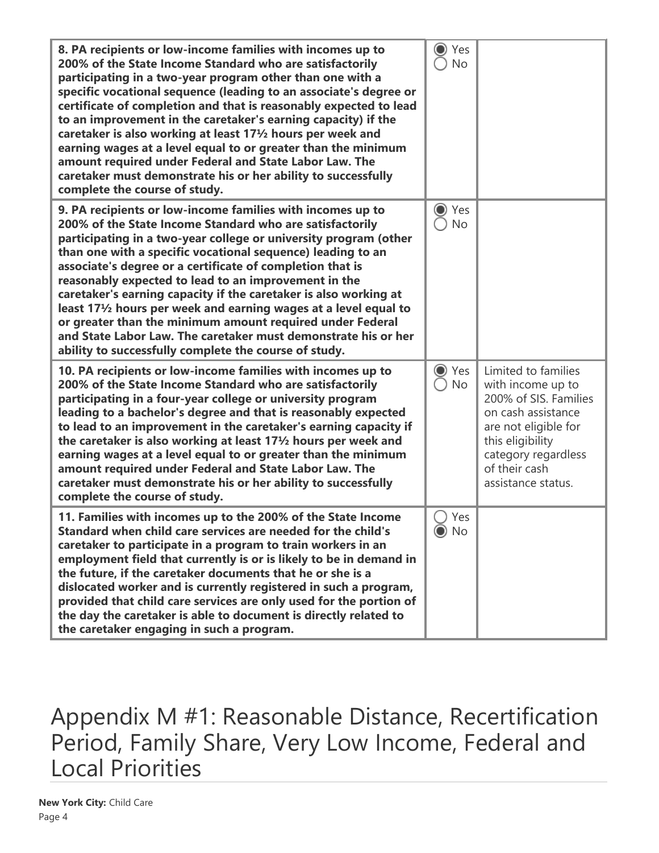| 8. PA recipients or low-income families with incomes up to<br>200% of the State Income Standard who are satisfactorily<br>participating in a two-year program other than one with a<br>specific vocational sequence (leading to an associate's degree or<br>certificate of completion and that is reasonably expected to lead<br>to an improvement in the caretaker's earning capacity) if the<br>caretaker is also working at least 171/2 hours per week and<br>earning wages at a level equal to or greater than the minimum<br>amount required under Federal and State Labor Law. The<br>caretaker must demonstrate his or her ability to successfully<br>complete the course of study.                                              | Yes<br><b>No</b>               |                                                                                                                                                                                                   |
|-----------------------------------------------------------------------------------------------------------------------------------------------------------------------------------------------------------------------------------------------------------------------------------------------------------------------------------------------------------------------------------------------------------------------------------------------------------------------------------------------------------------------------------------------------------------------------------------------------------------------------------------------------------------------------------------------------------------------------------------|--------------------------------|---------------------------------------------------------------------------------------------------------------------------------------------------------------------------------------------------|
| 9. PA recipients or low-income families with incomes up to<br>200% of the State Income Standard who are satisfactorily<br>participating in a two-year college or university program (other<br>than one with a specific vocational sequence) leading to an<br>associate's degree or a certificate of completion that is<br>reasonably expected to lead to an improvement in the<br>caretaker's earning capacity if the caretaker is also working at<br>least 17 <sup>1</sup> / <sub>2</sub> hours per week and earning wages at a level equal to<br>or greater than the minimum amount required under Federal<br>and State Labor Law. The caretaker must demonstrate his or her<br>ability to successfully complete the course of study. | Yes<br>O<br><b>No</b>          |                                                                                                                                                                                                   |
| 10. PA recipients or low-income families with incomes up to<br>200% of the State Income Standard who are satisfactorily<br>participating in a four-year college or university program<br>leading to a bachelor's degree and that is reasonably expected<br>to lead to an improvement in the caretaker's earning capacity if<br>the caretaker is also working at least 171/2 hours per week and<br>earning wages at a level equal to or greater than the minimum<br>amount required under Federal and State Labor Law. The<br>caretaker must demonstrate his or her ability to successfully<br>complete the course of study.                                                                                                             | $\bigcirc$<br>Yes<br><b>No</b> | Limited to families<br>with income up to<br>200% of SIS. Families<br>on cash assistance<br>are not eligible for<br>this eligibility<br>category regardless<br>of their cash<br>assistance status. |
| 11. Families with incomes up to the 200% of the State Income<br>Standard when child care services are needed for the child's<br>caretaker to participate in a program to train workers in an<br>employment field that currently is or is likely to be in demand in<br>the future, if the caretaker documents that he or she is a<br>dislocated worker and is currently registered in such a program,<br>provided that child care services are only used for the portion of<br>the day the caretaker is able to document is directly related to<br>the caretaker engaging in such a program.                                                                                                                                             | Yes<br>$\odot$<br>No           |                                                                                                                                                                                                   |

Appendix M #1: Reasonable Distance, Recertification Period, Family Share, Very Low Income, Federal and Local Priorities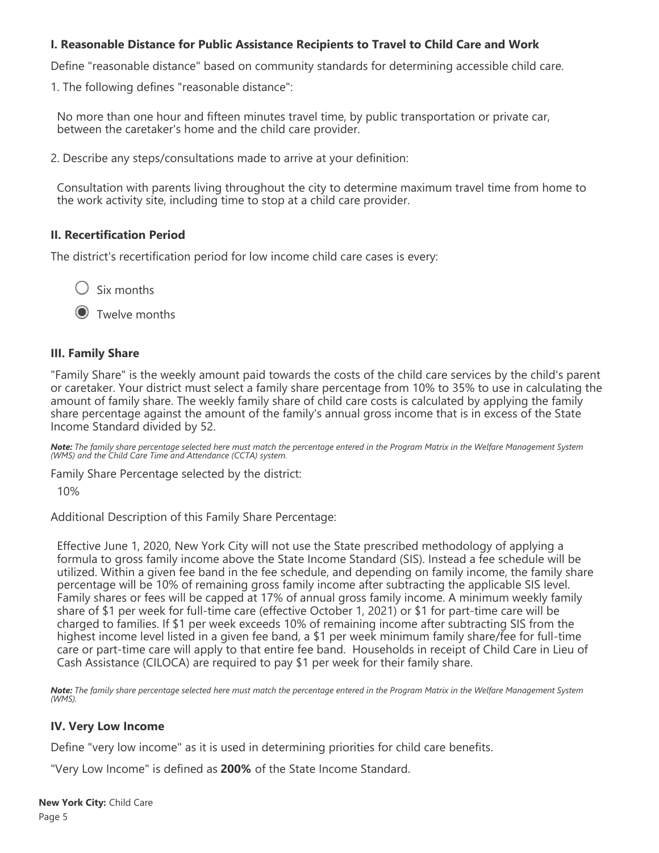### **I. Reasonable Distance for Public Assistance Recipients to Travel to Child Care and Work**

Define "reasonable distance" based on community standards for determining accessible child care.

1. The following defines "reasonable distance":

No more than one hour and fifteen minutes travel time, by public transportation or private car, between the caretaker's home and the child care provider.

2. Describe any steps/consultations made to arrive at your definition:

Consultation with parents living throughout the city to determine maximum travel time from home to the work activity site, including time to stop at a child care provider.

#### **II. Recertification Period**

The district's recertification period for low income child care cases is every:

 $\bigcirc$  Six months

**O** Twelve months

#### **III. Family Share**

"Family Share" is the weekly amount paid towards the costs of the child care services by the child's parent or caretaker. Your district must select a family share percentage from 10% to 35% to use in calculating the amount of family share. The weekly family share of child care costs is calculated by applying the family share percentage against the amount of the family's annual gross income that is in excess of the State Income Standard divided by 52.

*Note: The family share percentage selected here must match the percentage entered in the Program Matrix in the Welfare Management System (WMS) and the Child Care Time and Attendance (CCTA) system.*

Family Share Percentage selected by the district:

10%

Additional Description of this Family Share Percentage:

Effective June 1, 2020, New York City will not use the State prescribed methodology of applying a formula to gross family income above the State Income Standard (SIS). Instead a fee schedule will be utilized. Within a given fee band in the fee schedule, and depending on family income, the family share percentage will be 10% of remaining gross family income after subtracting the applicable SIS level. Family shares or fees will be capped at 17% of annual gross family income. A minimum weekly family share of \$1 per week for full-time care (effective October 1, 2021) or \$1 for part-time care will be charged to families. If \$1 per week exceeds 10% of remaining income after subtracting SIS from the highest income level listed in a given fee band, a \$1 per week minimum family share/fee for full-time care or part-time care will apply to that entire fee band. Households in receipt of Child Care in Lieu of Cash Assistance (CILOCA) are required to pay \$1 per week for their family share.

*Note: The family share percentage selected here must match the percentage entered in the Program Matrix in the Welfare Management System (WMS).*

#### **IV. Very Low Income**

Define "very low income" as it is used in determining priorities for child care benefits.

"Very Low Income" is defined as **200%** of the State Income Standard.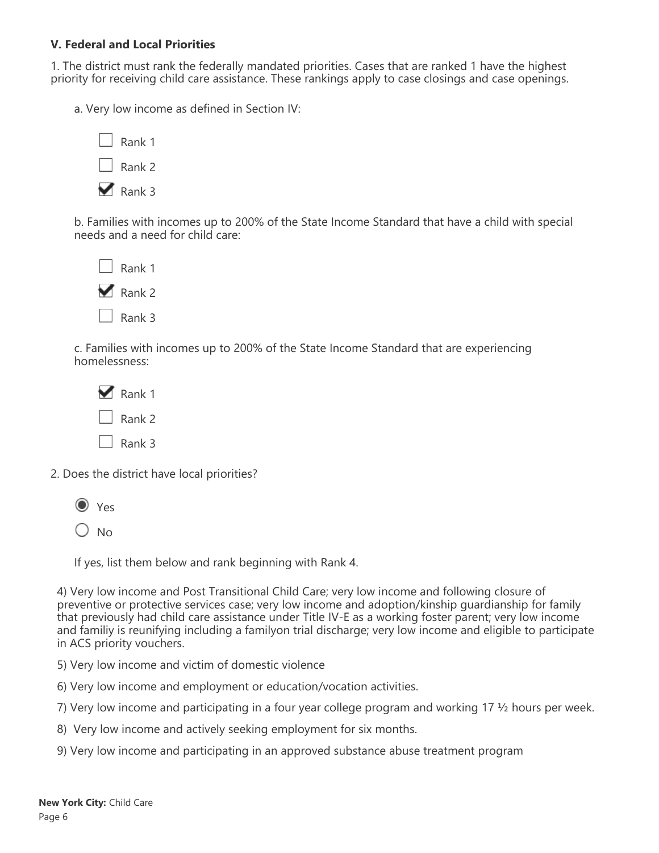#### **V. Federal and Local Priorities**

1. The district must rank the federally mandated priorities. Cases that are ranked 1 have the highest priority for receiving child care assistance. These rankings apply to case closings and case openings.

a. Very low income as defined in Section IV:

| Rank 1 |
|--------|
| Rank 2 |
| Rank 3 |

b. Families with incomes up to 200% of the State Income Standard that have a child with special needs and a need for child care:

| Rank 1 |
|--------|
| Rank 2 |
| Rank 3 |

c. Families with incomes up to 200% of the State Income Standard that are experiencing homelessness:

| Rank 1 |
|--------|
| Rank 2 |
| Rank 3 |

2. Does the district have local priorities?



 $\bigcirc$  No

If yes, list them below and rank beginning with Rank 4.

4) Very low income and Post Transitional Child Care; very low income and following closure of preventive or protective services case; very low income and adoption/kinship guardianship for family that previously had child care assistance under Title IV-E as a working foster parent; very low income and familiy is reunifying including a familyon trial discharge; very low income and eligible to participate in ACS priority vouchers.

5) Very low income and victim of domestic violence

6) Very low income and employment or education/vocation activities.

7) Very low income and participating in a four year college program and working 17 ½ hours per week.

8) Very low income and actively seeking employment for six months.

9) Very low income and participating in an approved substance abuse treatment program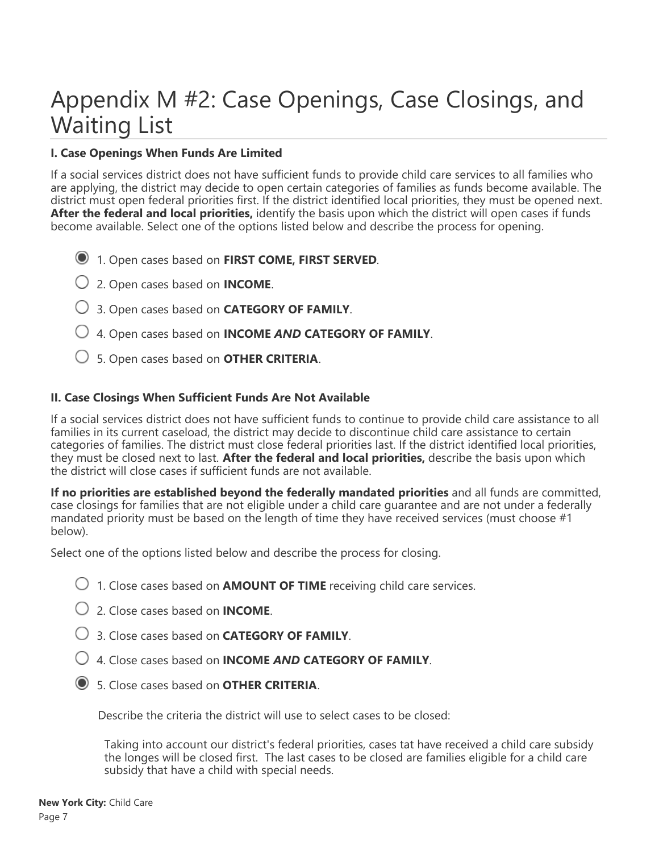# Appendix M #2: Case Openings, Case Closings, and Waiting List

### **I. Case Openings When Funds Are Limited**

If a social services district does not have sufficient funds to provide child care services to all families who are applying, the district may decide to open certain categories of families as funds become available. The district must open federal priorities first. If the district identified local priorities, they must be opened next. **After the federal and local priorities,** identify the basis upon which the district will open cases if funds become available. Select one of the options listed below and describe the process for opening.

- 1. Open cases based on **FIRST COME, FIRST SERVED**.
- 2. Open cases based on **INCOME**.
- 3. Open cases based on **CATEGORY OF FAMILY**.
- 4. Open cases based on **INCOME** *AND* **CATEGORY OF FAMILY**.
- 5. Open cases based on **OTHER CRITERIA**.

#### **II. Case Closings When Sufficient Funds Are Not Available**

If a social services district does not have sufficient funds to continue to provide child care assistance to all families in its current caseload, the district may decide to discontinue child care assistance to certain categories of families. The district must close federal priorities last. If the district identified local priorities, they must be closed next to last. **After the federal and local priorities,** describe the basis upon which the district will close cases if sufficient funds are not available.

**If no priorities are established beyond the federally mandated priorities** and all funds are committed, case closings for families that are not eligible under a child care guarantee and are not under a federally mandated priority must be based on the length of time they have received services (must choose #1 below).

Select one of the options listed below and describe the process for closing.

- 1. Close cases based on **AMOUNT OF TIME** receiving child care services.
- 2. Close cases based on **INCOME**.
- 3. Close cases based on **CATEGORY OF FAMILY**.
- 4. Close cases based on **INCOME** *AND* **CATEGORY OF FAMILY**.
- 5. Close cases based on **OTHER CRITERIA**.

Describe the criteria the district will use to select cases to be closed:

Taking into account our district's federal priorities, cases tat have received a child care subsidy the longes will be closed first. The last cases to be closed are families eligible for a child care subsidy that have a child with special needs.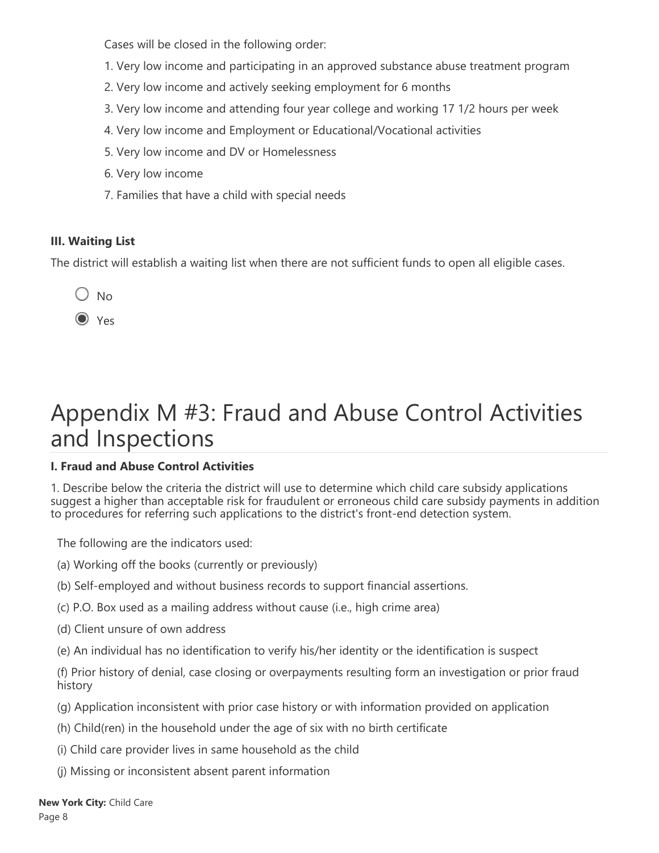Cases will be closed in the following order:

- 1. Very low income and participating in an approved substance abuse treatment program
- 2. Very low income and actively seeking employment for 6 months
- 3. Very low income and attending four year college and working 17 1/2 hours per week
- 4. Very low income and Employment or Educational/Vocational activities
- 5. Very low income and DV or Homelessness
- 6. Very low income
- 7. Families that have a child with special needs

## **III. Waiting List**

The district will establish a waiting list when there are not sufficient funds to open all eligible cases.

 $O$  No

 $\odot$  Yes

# Appendix M #3: Fraud and Abuse Control Activities and Inspections

## **I. Fraud and Abuse Control Activities**

1. Describe below the criteria the district will use to determine which child care subsidy applications suggest a higher than acceptable risk for fraudulent or erroneous child care subsidy payments in addition to procedures for referring such applications to the district's front-end detection system.

The following are the indicators used:

- (a) Working off the books (currently or previously)
- (b) Self-employed and without business records to support financial assertions.
- (c) P.O. Box used as a mailing address without cause (i.e., high crime area)
- (d) Client unsure of own address
- (e) An individual has no identification to verify his/her identity or the identification is suspect

(f) Prior history of denial, case closing or overpayments resulting form an investigation or prior fraud history

- (g) Application inconsistent with prior case history or with information provided on application
- (h) Child(ren) in the household under the age of six with no birth certificate
- (i) Child care provider lives in same household as the child
- (j) Missing or inconsistent absent parent information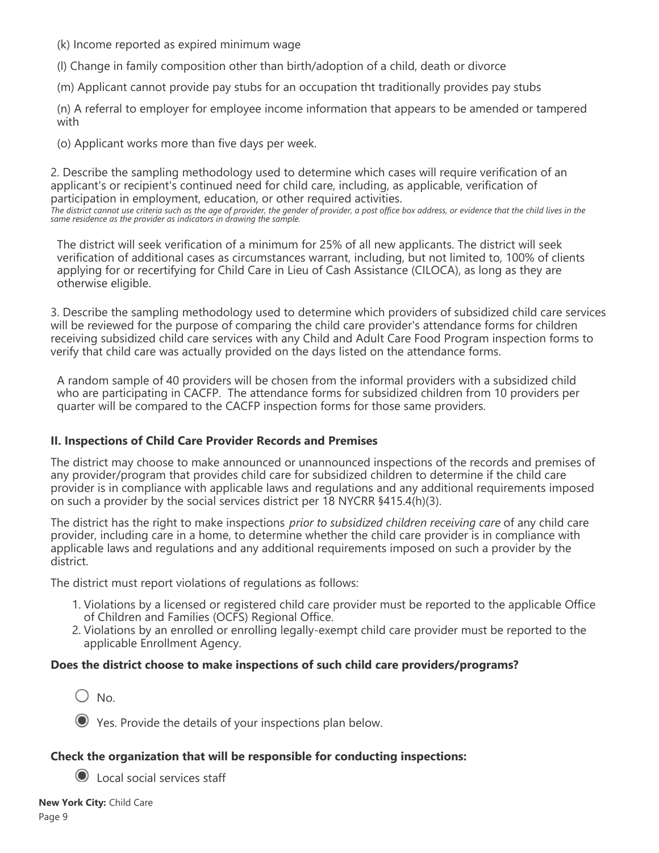(k) Income reported as expired minimum wage

(l) Change in family composition other than birth/adoption of a child, death or divorce

(m) Applicant cannot provide pay stubs for an occupation tht traditionally provides pay stubs

(n) A referral to employer for employee income information that appears to be amended or tampered with

(o) Applicant works more than five days per week.

*same residence as the provider as indicators in drawing the sample.*

2. Describe the sampling methodology used to determine which cases will require verification of an applicant's or recipient's continued need for child care, including, as applicable, verification of participation in employment, education, or other required activities. *The district cannot use criteria such as the age of provider, the gender of provider, a post office box address, or evidence that the child lives in the*

The district will seek verification of a minimum for 25% of all new applicants. The district will seek verification of additional cases as circumstances warrant, including, but not limited to, 100% of clients applying for or recertifying for Child Care in Lieu of Cash Assistance (CILOCA), as long as they are otherwise eligible.

3. Describe the sampling methodology used to determine which providers of subsidized child care services will be reviewed for the purpose of comparing the child care provider's attendance forms for children receiving subsidized child care services with any Child and Adult Care Food Program inspection forms to verify that child care was actually provided on the days listed on the attendance forms.

A random sample of 40 providers will be chosen from the informal providers with a subsidized child who are participating in CACFP. The attendance forms for subsidized children from 10 providers per quarter will be compared to the CACFP inspection forms for those same providers.

### **II. Inspections of Child Care Provider Records and Premises**

The district may choose to make announced or unannounced inspections of the records and premises of any provider/program that provides child care for subsidized children to determine if the child care provider is in compliance with applicable laws and regulations and any additional requirements imposed on such a provider by the social services district per 18 NYCRR §415.4(h)(3).

The district has the right to make inspections *prior to subsidized children receiving care* of any child care provider, including care in a home, to determine whether the child care provider is in compliance with applicable laws and regulations and any additional requirements imposed on such a provider by the district.

The district must report violations of regulations as follows:

- 1. Violations by a licensed or registered child care provider must be reported to the applicable Office of Children and Families (OCFS) Regional Office.
- 2. Violations by an enrolled or enrolling legally-exempt child care provider must be reported to the applicable Enrollment Agency.

### **Does the district choose to make inspections of such child care providers/programs?**

 $\bigcirc$  No.

Yes. Provide the details of your inspections plan below.

### **Check the organization that will be responsible for conducting inspections:**

Local social services staff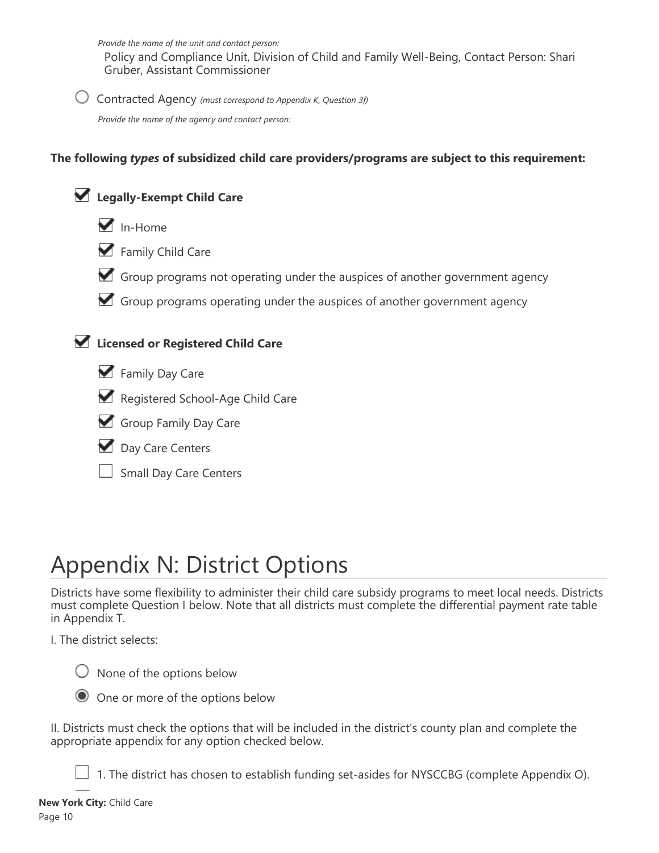*Provide the name of the unit and contact person:*

Policy and Compliance Unit, Division of Child and Family Well-Being, Contact Person: Shari Gruber, Assistant Commissioner

Contracted Agency *(must correspond to Appendix K, Question 3f)*

*Provide the name of the agency and contact person:*

### **The following** *types* **of subsidized child care providers/programs are subject to this requirement:**





- Family Child Care
- Group programs not operating under the auspices of another government agency
- Group programs operating under the auspices of another government agency



## **Licensed or Registered Child Care**



- Registered School-Age Child Care
- Group Family Day Care
- Day Care Centers
- Small Day Care Centers

# Appendix N: District Options

Districts have some flexibility to administer their child care subsidy programs to meet local needs. Districts must complete Question I below. Note that all districts must complete the differential payment rate table in Appendix T.

I. The district selects:

 $\bigcirc$  None of the options below



One or more of the options below

II. Districts must check the options that will be included in the district's county plan and complete the appropriate appendix for any option checked below.

 $\Box$  1. The district has chosen to establish funding set-asides for NYSCCBG (complete Appendix O).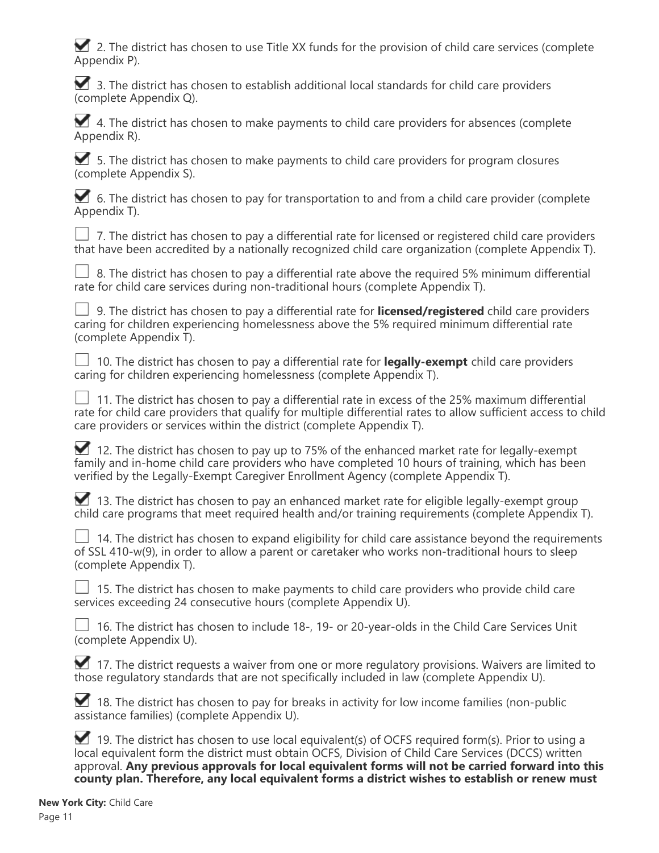2. The district has chosen to use Title XX funds for the provision of child care services (complete Appendix P).

3. The district has chosen to establish additional local standards for child care providers (complete Appendix Q).

 $\blacktriangleright$  4. The district has chosen to make payments to child care providers for absences (complete Appendix R).

 $\blacktriangleright$  5. The district has chosen to make payments to child care providers for program closures (complete Appendix S).

6. The district has chosen to pay for transportation to and from a child care provider (complete Appendix T).

 $\perp$  7. The district has chosen to pay a differential rate for licensed or registered child care providers that have been accredited by a nationally recognized child care organization (complete Appendix T).

 $\Box$  8. The district has chosen to pay a differential rate above the required 5% minimum differential rate for child care services during non-traditional hours (complete Appendix T).

 9. The district has chosen to pay a differential rate for **licensed/registered** child care providers caring for children experiencing homelessness above the 5% required minimum differential rate (complete Appendix T).

 10. The district has chosen to pay a differential rate for **legally-exempt** child care providers caring for children experiencing homelessness (complete Appendix T).

 $\Box$  11. The district has chosen to pay a differential rate in excess of the 25% maximum differential rate for child care providers that qualify for multiple differential rates to allow sufficient access to child care providers or services within the district (complete Appendix T).

12. The district has chosen to pay up to 75% of the enhanced market rate for legally-exempt family and in-home child care providers who have completed 10 hours of training, which has been verified by the Legally-Exempt Caregiver Enrollment Agency (complete Appendix T).

13. The district has chosen to pay an enhanced market rate for eligible legally-exempt group child care programs that meet required health and/or training requirements (complete Appendix T).

 $\Box$  14. The district has chosen to expand eligibility for child care assistance beyond the requirements of SSL 410-w(9), in order to allow a parent or caretaker who works non-traditional hours to sleep (complete Appendix T).

 $\perp$  15. The district has chosen to make payments to child care providers who provide child care services exceeding 24 consecutive hours (complete Appendix U).

 $\Box$  16. The district has chosen to include 18-, 19- or 20-year-olds in the Child Care Services Unit (complete Appendix U).

17. The district requests a waiver from one or more requlatory provisions. Waivers are limited to those regulatory standards that are not specifically included in law (complete Appendix U).

18. The district has chosen to pay for breaks in activity for low income families (non-public assistance families) (complete Appendix U).

19. The district has chosen to use local equivalent(s) of OCFS required form(s). Prior to using a local equivalent form the district must obtain OCFS, Division of Child Care Services (DCCS) written approval. **Any previous approvals for local equivalent forms will not be carried forward into this county plan. Therefore, any local equivalent forms a district wishes to establish or renew must**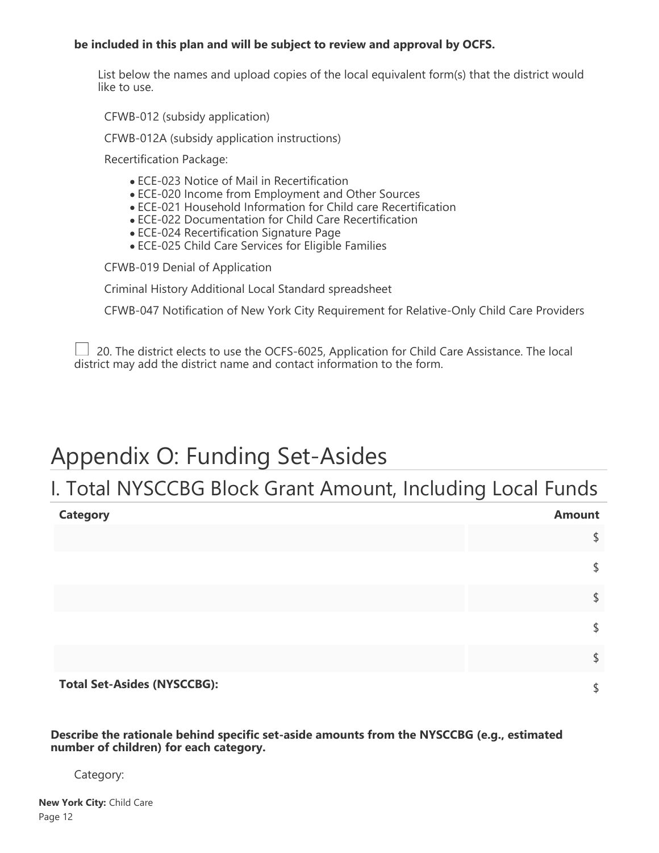#### **be included in this plan and will be subject to review and approval by OCFS.**

List below the names and upload copies of the local equivalent form(s) that the district would like to use.

CFWB-012 (subsidy application)

CFWB-012A (subsidy application instructions)

Recertification Package:

- ECE-023 Notice of Mail in Recertification
- ECE-020 Income from Employment and Other Sources
- ECE-021 Household Information for Child care Recertification
- ECE-022 Documentation for Child Care Recertification
- ECE-024 Recertification Signature Page
- ECE-025 Child Care Services for Eligible Families

CFWB-019 Denial of Application

Criminal History Additional Local Standard spreadsheet

CFWB-047 Notification of New York City Requirement for Relative-Only Child Care Providers

 $\perp$  20. The district elects to use the OCFS-6025, Application for Child Care Assistance. The local district may add the district name and contact information to the form.

## Appendix O: Funding Set-Asides

## I. Total NYSCCBG Block Grant Amount, Including Local Funds

| <b>Category</b>                    | <b>Amount</b> |
|------------------------------------|---------------|
|                                    | \$            |
|                                    | \$            |
|                                    | \$            |
|                                    | \$            |
|                                    | \$            |
| <b>Total Set-Asides (NYSCCBG):</b> | \$            |

**Describe the rationale behind specific set-aside amounts from the NYSCCBG (e.g., estimated number of children) for each category.**

#### Category: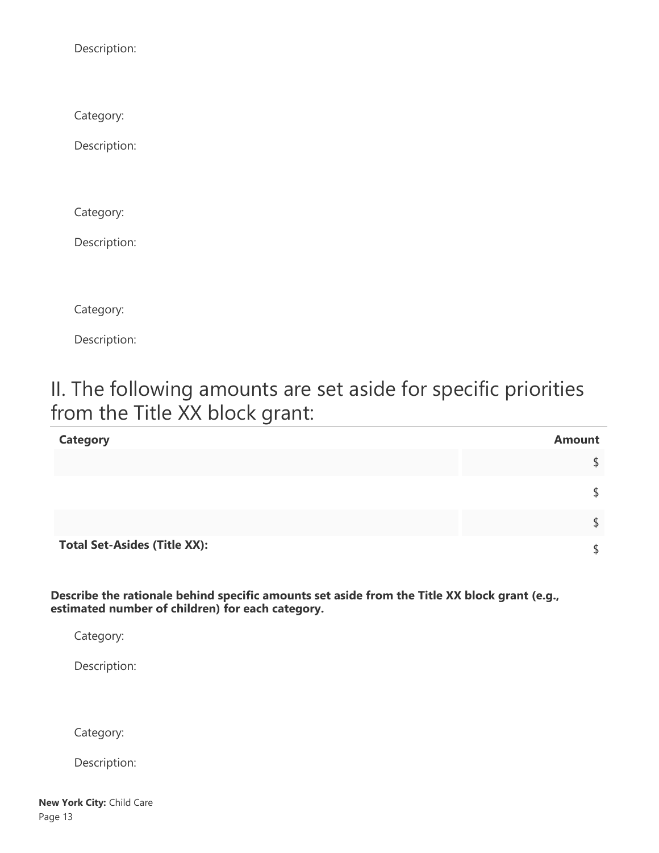Description:

Category:

Description:

Category:

Description:

Category:

Description:

## II. The following amounts are set aside for specific priorities from the Title XX block grant:

| <b>Category</b>                     | <b>Amount</b> |
|-------------------------------------|---------------|
|                                     | \$            |
|                                     | \$            |
|                                     |               |
| <b>Total Set-Asides (Title XX):</b> |               |

**Describe the rationale behind specific amounts set aside from the Title XX block grant (e.g., estimated number of children) for each category.**

Category:

Description:

Category:

Description: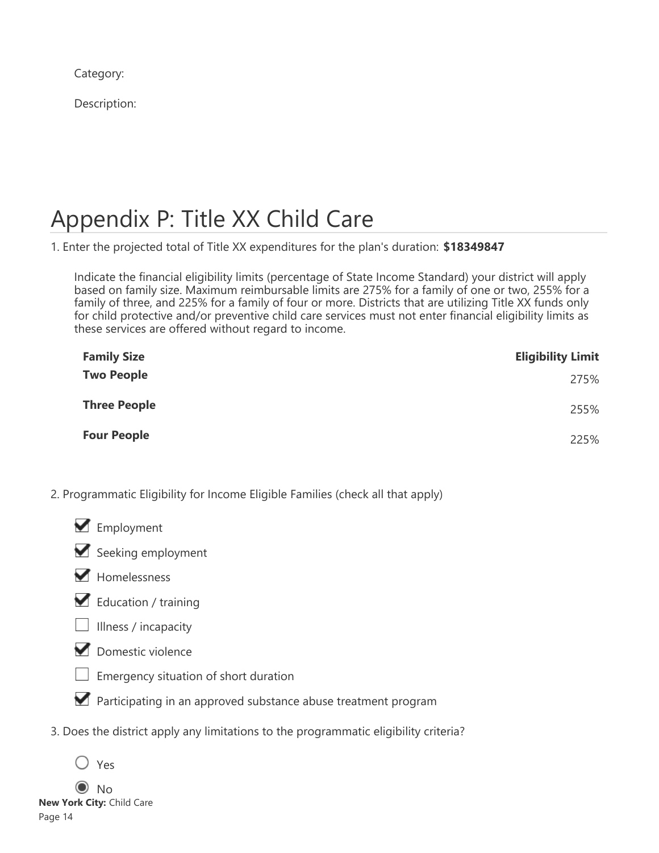Category:

Description:

# Appendix P: Title XX Child Care

1. Enter the projected total of Title XX expenditures for the plan's duration: **\$18349847**

Indicate the financial eligibility limits (percentage of State Income Standard) your district will apply based on family size. Maximum reimbursable limits are 275% for a family of one or two, 255% for a family of three, and 225% for a family of four or more. Districts that are utilizing Title XX funds only for child protective and/or preventive child care services must not enter financial eligibility limits as these services are offered without regard to income.

| <b>Family Size</b>  | <b>Eligibility Limit</b> |
|---------------------|--------------------------|
| <b>Two People</b>   | 275%                     |
| <b>Three People</b> | 255%                     |
| <b>Four People</b>  | 225%                     |

- 2. Programmatic Eligibility for Income Eligible Families (check all that apply)
	- **M** Employment



- Homelessness
- Education / training
- $\Box$  Illness / incapacity



- Emergency situation of short duration
- **Participating in an approved substance abuse treatment program**
- 3. Does the district apply any limitations to the programmatic eligibility criteria?

 $\odot$  No **New York City:** Child Care Page 14

Yes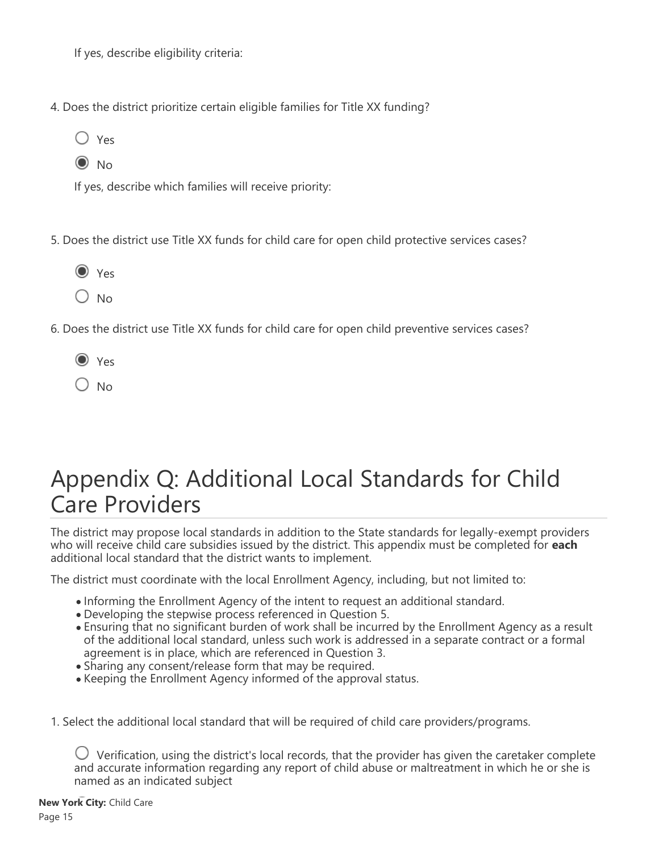If yes, describe eligibility criteria:

- 4. Does the district prioritize certain eligible families for Title XX funding?
	- $\bigcirc$  Yes  $\odot$  No
	-

If yes, describe which families will receive priority:

- 5. Does the district use Title XX funds for child care for open child protective services cases?
	- O Yes
	- $\bigcirc$  No
- 6. Does the district use Title XX funds for child care for open child preventive services cases?
	- O Yes
	- $\bigcirc$  No

# Appendix Q: Additional Local Standards for Child Care Providers

The district may propose local standards in addition to the State standards for legally-exempt providers who will receive child care subsidies issued by the district. This appendix must be completed for **each** additional local standard that the district wants to implement.

The district must coordinate with the local Enrollment Agency, including, but not limited to:

- Informing the Enrollment Agency of the intent to request an additional standard.
- Developing the stepwise process referenced in Question 5.
- Ensuring that no significant burden of work shall be incurred by the Enrollment Agency as a result of the additional local standard, unless such work is addressed in a separate contract or a formal agreement is in place, which are referenced in Question 3.
- Sharing any consent/release form that may be required.
- Keeping the Enrollment Agency informed of the approval status.
- 1. Select the additional local standard that will be required of child care providers/programs.

 $\bigcup$  Verification, using the district's local records, that the provider has given the caretaker complete and accurate information regarding any report of child abuse or maltreatment in which he or she is named as an indicated subject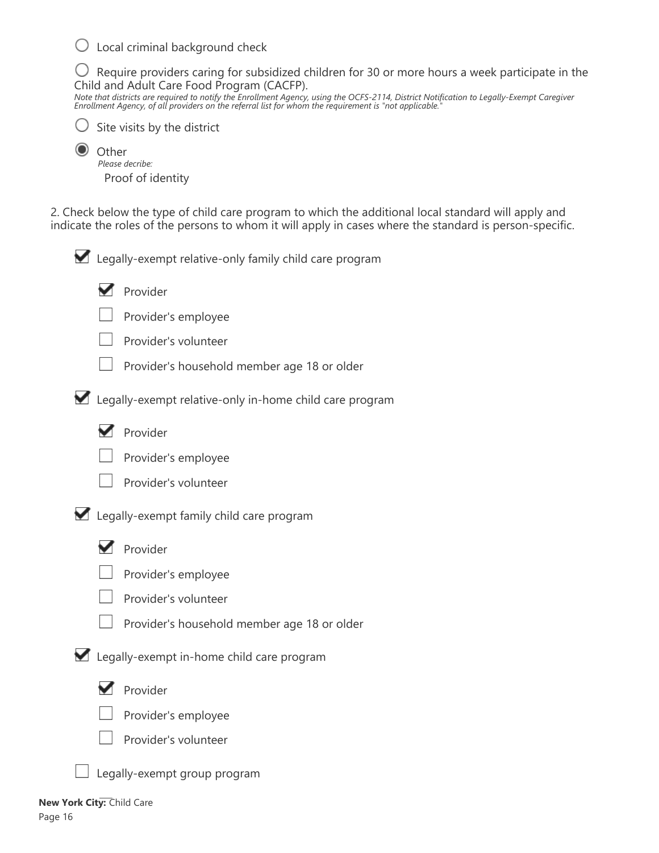$\bigcirc$  Local criminal background check

 $\bigcirc$  Require providers caring for subsidized children for 30 or more hours a week participate in the Child and Adult Care Food Program (CACFP).

*Note that districts are required to notify the Enrollment Agency, using the OCFS-2114, District Notification to Legally-Exempt Caregiver Enrollment Agency, of all providers on the referral list for whom the requirement is "not applicable."*



Site visits by the district

**Other** *Please decribe:* Proof of identity

2. Check below the type of child care program to which the additional local standard will apply and indicate the roles of the persons to whom it will apply in cases where the standard is person-specific.

Legally-exempt relative-only family child care program



Provider's employee



Provider's household member age 18 or older

Legally-exempt relative-only in-home child care program





Provider's volunteer

Legally-exempt family child care program



**Provider** 



Provider's employee



Provider's household member age 18 or older

**Z** Legally-exempt in-home child care program



**Provider** 



Provider's employee



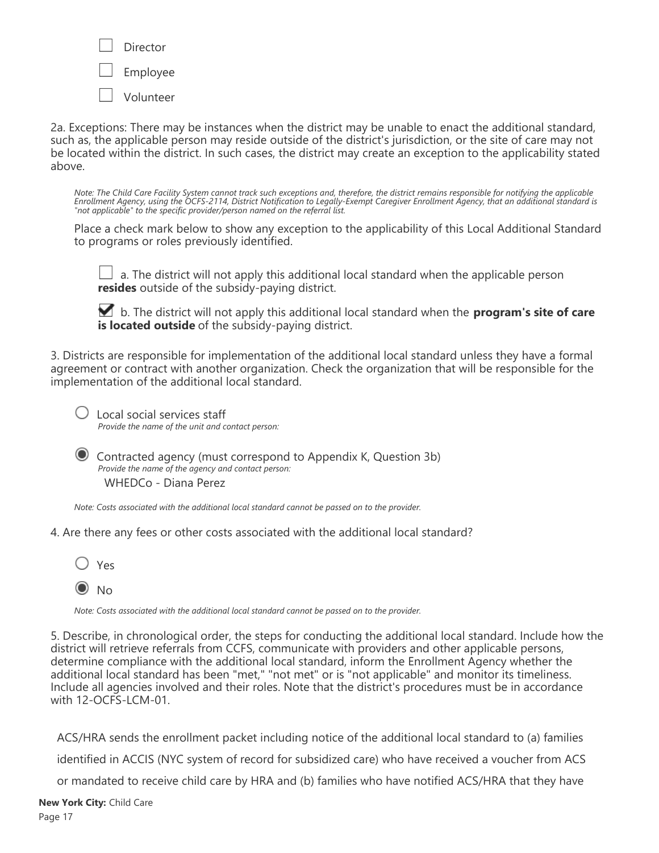Director Employee Volunteer

2a. Exceptions: There may be instances when the district may be unable to enact the additional standard, such as, the applicable person may reside outside of the district's jurisdiction, or the site of care may not be located within the district. In such cases, the district may create an exception to the applicability stated above.

*Note: The Child Care Facility System cannot track such exceptions and, therefore, the district remains responsible for notifying the applicable Enrollment Agency, using the OCFS-2114, District Notification to Legally-Exempt Caregiver Enrollment Agency, that an additional standard is "not applicable" to the specific provider/person named on the referral list.*

Place a check mark below to show any exception to the applicability of this Local Additional Standard to programs or roles previously identified.

 $\perp$  a. The district will not apply this additional local standard when the applicable person **resides** outside of the subsidy-paying district.

 b. The district will not apply this additional local standard when the **program's site of care is located outside** of the subsidy-paying district.

3. Districts are responsible for implementation of the additional local standard unless they have a formal agreement or contract with another organization. Check the organization that will be responsible for the implementation of the additional local standard.

 Local social services staff *Provide the name of the unit and contact person:*

 Contracted agency (must correspond to Appendix K, Question 3b) *Provide the name of the agency and contact person:* WHEDCo - Diana Perez

*Note: Costs associated with the additional local standard cannot be passed on to the provider.*

4. Are there any fees or other costs associated with the additional local standard?



*Note: Costs associated with the additional local standard cannot be passed on to the provider.*

5. Describe, in chronological order, the steps for conducting the additional local standard. Include how the district will retrieve referrals from CCFS, communicate with providers and other applicable persons, determine compliance with the additional local standard, inform the Enrollment Agency whether the additional local standard has been "met," "not met" or is "not applicable" and monitor its timeliness. Include all agencies involved and their roles. Note that the district's procedures must be in accordance with 12-OCFS-LCM-01.

ACS/HRA sends the enrollment packet including notice of the additional local standard to (a) families identified in ACCIS (NYC system of record for subsidized care) who have received a voucher from ACS

or mandated to receive child care by HRA and (b) families who have notified ACS/HRA that they have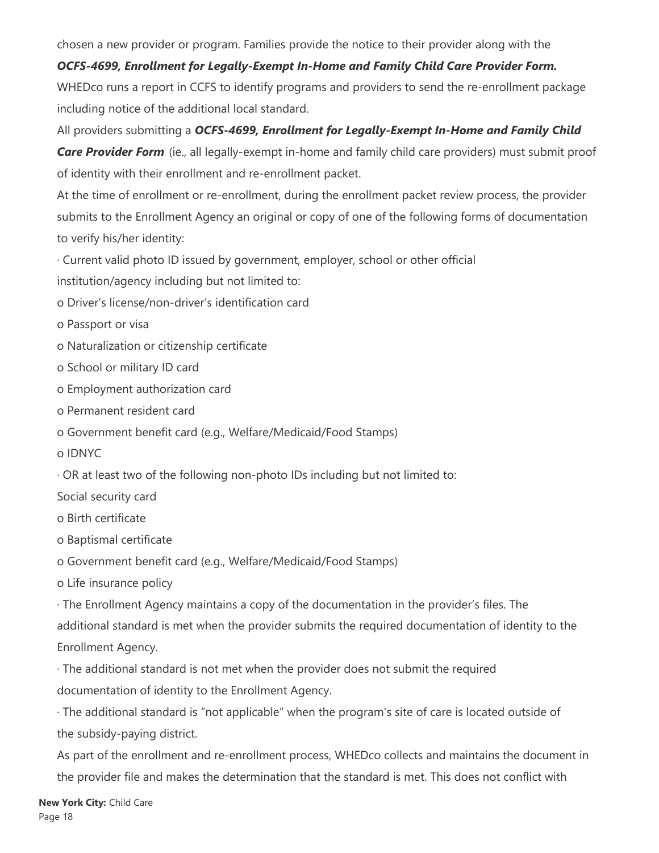chosen a new provider or program. Families provide the notice to their provider along with the

## *OCFS-4699, Enrollment for Legally-Exempt In-Home and Family Child Care Provider Form.*

WHEDco runs a report in CCFS to identify programs and providers to send the re-enrollment package including notice of the additional local standard.

All providers submitting a *OCFS-4699, Enrollment for Legally-Exempt In-Home and Family Child*

**Care Provider Form** (ie., all legally-exempt in-home and family child care providers) must submit proof of identity with their enrollment and re-enrollment packet.

At the time of enrollment or re-enrollment, during the enrollment packet review process, the provider submits to the Enrollment Agency an original or copy of one of the following forms of documentation to verify his/her identity:

· Current valid photo ID issued by government, employer, school or other official

institution/agency including but not limited to:

- o Driver's license/non-driver's identification card
- o Passport or visa
- o Naturalization or citizenship certificate
- o School or military ID card
- o Employment authorization card
- o Permanent resident card
- o Government benefit card (e.g., Welfare/Medicaid/Food Stamps)
- o IDNYC

· OR at least two of the following non-photo IDs including but not limited to:

Social security card

- o Birth certificate
- o Baptismal certificate

o Government benefit card (e.g., Welfare/Medicaid/Food Stamps)

o Life insurance policy

· The Enrollment Agency maintains a copy of the documentation in the provider's files. The additional standard is met when the provider submits the required documentation of identity to the Enrollment Agency.

· The additional standard is not met when the provider does not submit the required documentation of identity to the Enrollment Agency.

· The additional standard is "not applicable" when the program's site of care is located outside of the subsidy-paying district.

As part of the enrollment and re-enrollment process, WHEDco collects and maintains the document in the provider file and makes the determination that the standard is met. This does not conflict with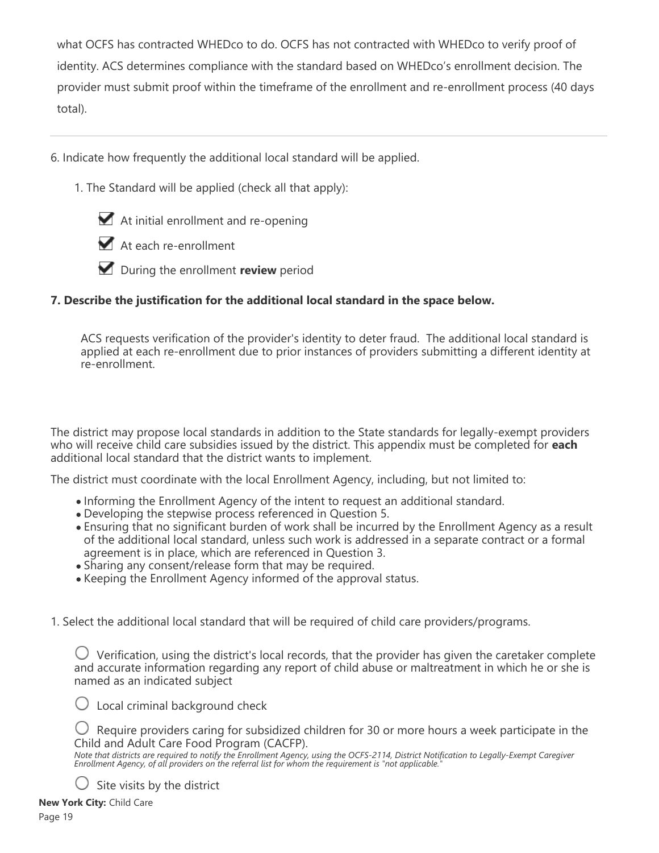what OCFS has contracted WHEDco to do. OCFS has not contracted with WHEDco to verify proof of identity. ACS determines compliance with the standard based on WHEDco's enrollment decision. The provider must submit proof within the timeframe of the enrollment and re-enrollment process (40 days total).

6. Indicate how frequently the additional local standard will be applied.

1. The Standard will be applied (check all that apply):



At each re-enrollment



### **7. Describe the justification for the additional local standard in the space below.**

ACS requests verification of the provider's identity to deter fraud. The additional local standard is applied at each re-enrollment due to prior instances of providers submitting a different identity at re-enrollment.

The district may propose local standards in addition to the State standards for legally-exempt providers who will receive child care subsidies issued by the district. This appendix must be completed for **each** additional local standard that the district wants to implement.

The district must coordinate with the local Enrollment Agency, including, but not limited to:

- Informing the Enrollment Agency of the intent to request an additional standard.
- Developing the stepwise process referenced in Question 5.
- Ensuring that no significant burden of work shall be incurred by the Enrollment Agency as a result of the additional local standard, unless such work is addressed in a separate contract or a formal agreement is in place, which are referenced in Question 3.
- Sharing any consent/release form that may be required.
- Keeping the Enrollment Agency informed of the approval status.

1. Select the additional local standard that will be required of child care providers/programs.

 $\bigcirc$  Verification, using the district's local records, that the provider has given the caretaker complete and accurate information regarding any report of child abuse or maltreatment in which he or she is named as an indicated subject

 $\bigcirc$  Local criminal background check

 $\bigcirc$  Require providers caring for subsidized children for 30 or more hours a week participate in the Child and Adult Care Food Program (CACFP).

*Note that districts are required to notify the Enrollment Agency, using the OCFS-2114, District Notification to Legally-Exempt Caregiver Enrollment Agency, of all providers on the referral list for whom the requirement is "not applicable."*

 $\bigcup$  Site visits by the district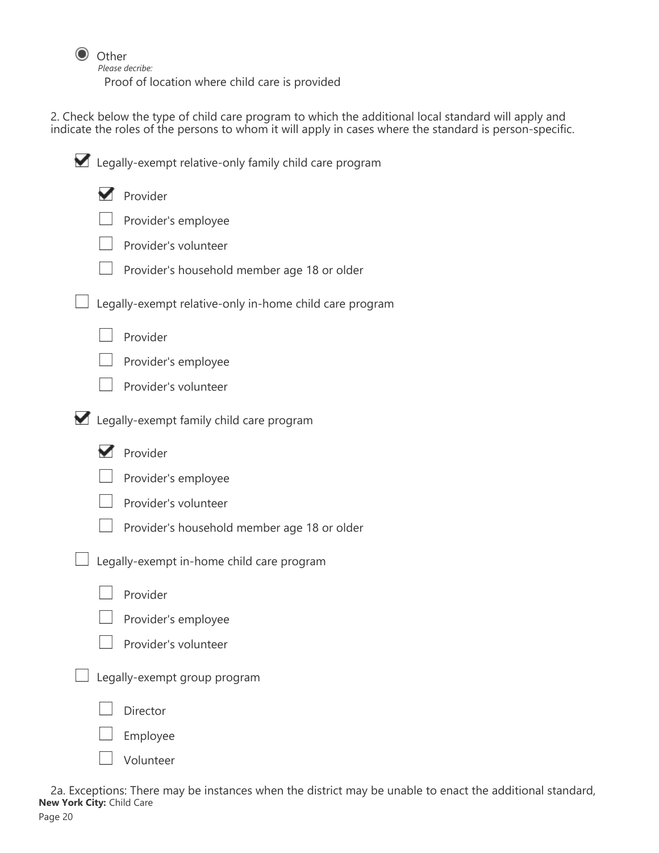

*Please decribe:*

Proof of location where child care is provided

2. Check below the type of child care program to which the additional local standard will apply and indicate the roles of the persons to whom it will apply in cases where the standard is person-specific.

| Legally-exempt relative-only family child care program |                                                         |  |  |
|--------------------------------------------------------|---------------------------------------------------------|--|--|
|                                                        | Provider                                                |  |  |
|                                                        | Provider's employee                                     |  |  |
|                                                        | Provider's volunteer                                    |  |  |
|                                                        | Provider's household member age 18 or older             |  |  |
|                                                        | Legally-exempt relative-only in-home child care program |  |  |
|                                                        | Provider                                                |  |  |
|                                                        | Provider's employee                                     |  |  |
|                                                        | Provider's volunteer                                    |  |  |
|                                                        | Legally-exempt family child care program                |  |  |
|                                                        | Provider                                                |  |  |
|                                                        | Provider's employee                                     |  |  |
|                                                        | Provider's volunteer                                    |  |  |
|                                                        | Provider's household member age 18 or older             |  |  |
|                                                        | Legally-exempt in-home child care program               |  |  |
|                                                        | Provider                                                |  |  |
|                                                        | Provider's employee                                     |  |  |
|                                                        | Provider's volunteer                                    |  |  |
|                                                        | Legally-exempt group program                            |  |  |
|                                                        | Director                                                |  |  |
|                                                        | Employee                                                |  |  |
|                                                        | Volunteer                                               |  |  |

2a. Exceptions: There may be instances when the district may be unable to enact the additional standard, **New York City:** Child Care Page 20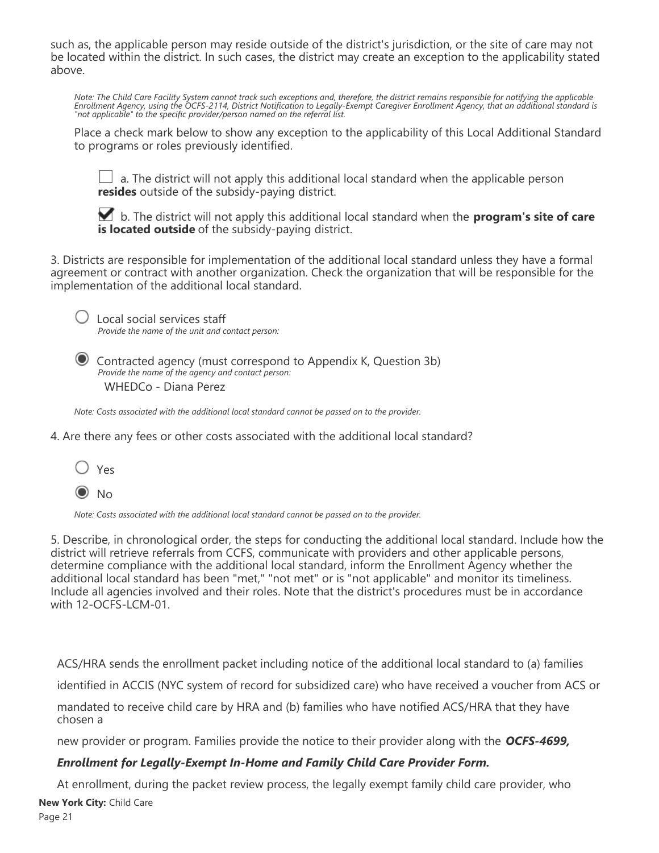such as, the applicable person may reside outside of the district's jurisdiction, or the site of care may not be located within the district. In such cases, the district may create an exception to the applicability stated above.

*Note: The Child Care Facility System cannot track such exceptions and, therefore, the district remains responsible for notifying the applicable Enrollment Agency, using the OCFS-2114, District Notification to Legally-Exempt Caregiver Enrollment Agency, that an additional standard is "not applicable" to the specific provider/person named on the referral list.*

Place a check mark below to show any exception to the applicability of this Local Additional Standard to programs or roles previously identified.

 $\Box$  a. The district will not apply this additional local standard when the applicable person **resides** outside of the subsidy-paying district.

 b. The district will not apply this additional local standard when the **program's site of care is located outside** of the subsidy-paying district.

3. Districts are responsible for implementation of the additional local standard unless they have a formal agreement or contract with another organization. Check the organization that will be responsible for the implementation of the additional local standard.



 $\bigcup$  Local social services staff *Provide the name of the unit and contact person:*

 Contracted agency (must correspond to Appendix K, Question 3b) *Provide the name of the agency and contact person:* WHEDCo - Diana Perez

*Note: Costs associated with the additional local standard cannot be passed on to the provider.*

4. Are there any fees or other costs associated with the additional local standard?

| ×<br>v<br>× |
|-------------|
|             |

 $\odot$  No

*Note: Costs associated with the additional local standard cannot be passed on to the provider.*

5. Describe, in chronological order, the steps for conducting the additional local standard. Include how the district will retrieve referrals from CCFS, communicate with providers and other applicable persons, determine compliance with the additional local standard, inform the Enrollment Agency whether the additional local standard has been "met," "not met" or is "not applicable" and monitor its timeliness. Include all agencies involved and their roles. Note that the district's procedures must be in accordance with 12-OCFS-LCM-01.

ACS/HRA sends the enrollment packet including notice of the additional local standard to (a) families

identified in ACCIS (NYC system of record for subsidized care) who have received a voucher from ACS or

mandated to receive child care by HRA and (b) families who have notified ACS/HRA that they have chosen a

new provider or program. Families provide the notice to their provider along with the *OCFS-4699,*

#### *Enrollment for Legally-Exempt In-Home and Family Child Care Provider Form.*

At enrollment, during the packet review process, the legally exempt family child care provider, who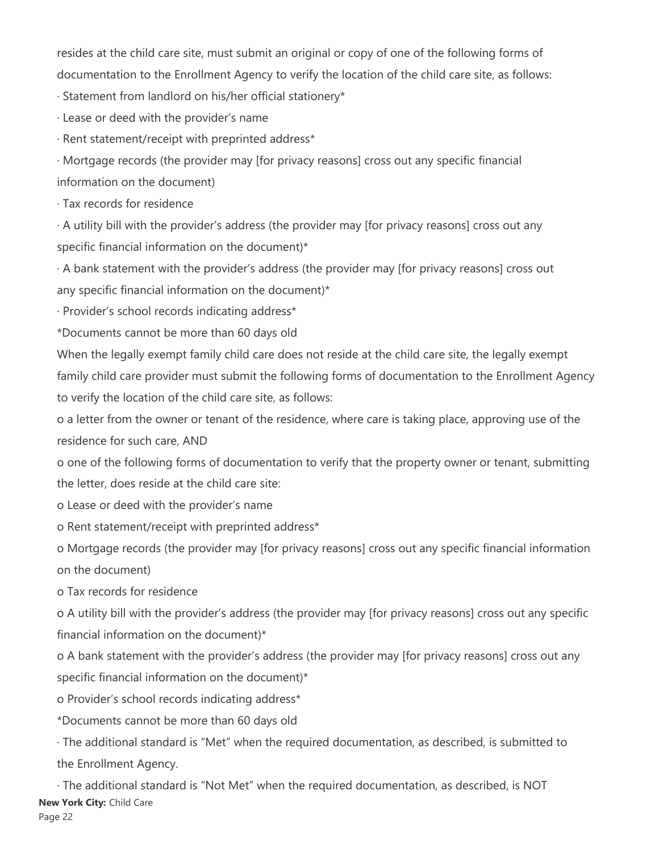resides at the child care site, must submit an original or copy of one of the following forms of documentation to the Enrollment Agency to verify the location of the child care site, as follows:

· Statement from landlord on his/her official stationery\*

· Lease or deed with the provider's name

· Rent statement/receipt with preprinted address\*

· Mortgage records (the provider may [for privacy reasons] cross out any specific financial information on the document)

· Tax records for residence

· A utility bill with the provider's address (the provider may [for privacy reasons] cross out any specific financial information on the document)\*

· A bank statement with the provider's address (the provider may [for privacy reasons] cross out any specific financial information on the document)\*

· Provider's school records indicating address\*

\*Documents cannot be more than 60 days old

When the legally exempt family child care does not reside at the child care site, the legally exempt family child care provider must submit the following forms of documentation to the Enrollment Agency to verify the location of the child care site, as follows:

o a letter from the owner or tenant of the residence, where care is taking place, approving use of the residence for such care, AND

o one of the following forms of documentation to verify that the property owner or tenant, submitting the letter, does reside at the child care site:

o Lease or deed with the provider's name

o Rent statement/receipt with preprinted address\*

o Mortgage records (the provider may [for privacy reasons] cross out any specific financial information on the document)

o Tax records for residence

o A utility bill with the provider's address (the provider may [for privacy reasons] cross out any specific financial information on the document)\*

o A bank statement with the provider's address (the provider may [for privacy reasons] cross out any specific financial information on the document)\*

o Provider's school records indicating address\*

\*Documents cannot be more than 60 days old

· The additional standard is "Met" when the required documentation, as described, is submitted to the Enrollment Agency.

· The additional standard is "Not Met" when the required documentation, as described, is NOT **New York City:** Child Care Page 22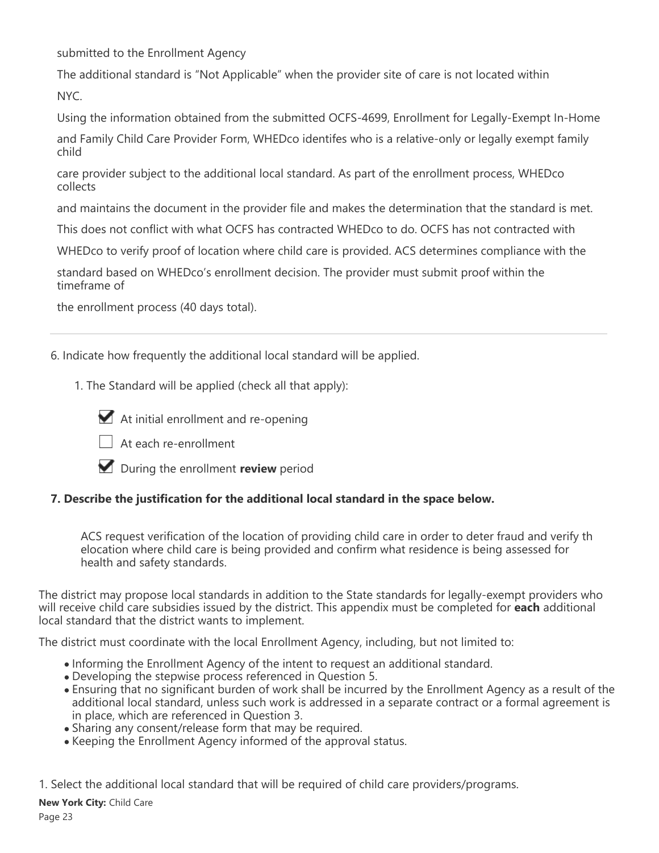submitted to the Enrollment Agency

The additional standard is "Not Applicable" when the provider site of care is not located within NYC.

Using the information obtained from the submitted OCFS-4699, Enrollment for Legally-Exempt In-Home and Family Child Care Provider Form, WHEDco identifes who is a relative-only or legally exempt family child

care provider subject to the additional local standard. As part of the enrollment process, WHEDco collects

and maintains the document in the provider file and makes the determination that the standard is met.

This does not conflict with what OCFS has contracted WHEDco to do. OCFS has not contracted with

WHEDco to verify proof of location where child care is provided. ACS determines compliance with the

standard based on WHEDco's enrollment decision. The provider must submit proof within the timeframe of

the enrollment process (40 days total).

6. Indicate how frequently the additional local standard will be applied.

1. The Standard will be applied (check all that apply):



At initial enrollment and re-opening



 $\Box$  At each re-enrollment

During the enrollment **review** period

### **7. Describe the justification for the additional local standard in the space below.**

ACS request verification of the location of providing child care in order to deter fraud and verify th elocation where child care is being provided and confirm what residence is being assessed for health and safety standards.

The district may propose local standards in addition to the State standards for legally-exempt providers who will receive child care subsidies issued by the district. This appendix must be completed for **each** additional local standard that the district wants to implement.

The district must coordinate with the local Enrollment Agency, including, but not limited to:

- Informing the Enrollment Agency of the intent to request an additional standard.
- Developing the stepwise process referenced in Question 5.
- Ensuring that no significant burden of work shall be incurred by the Enrollment Agency as a result of the additional local standard, unless such work is addressed in a separate contract or a formal agreement is in place, which are referenced in Question 3.
- Sharing any consent/release form that may be required.
- Keeping the Enrollment Agency informed of the approval status.

1. Select the additional local standard that will be required of child care providers/programs.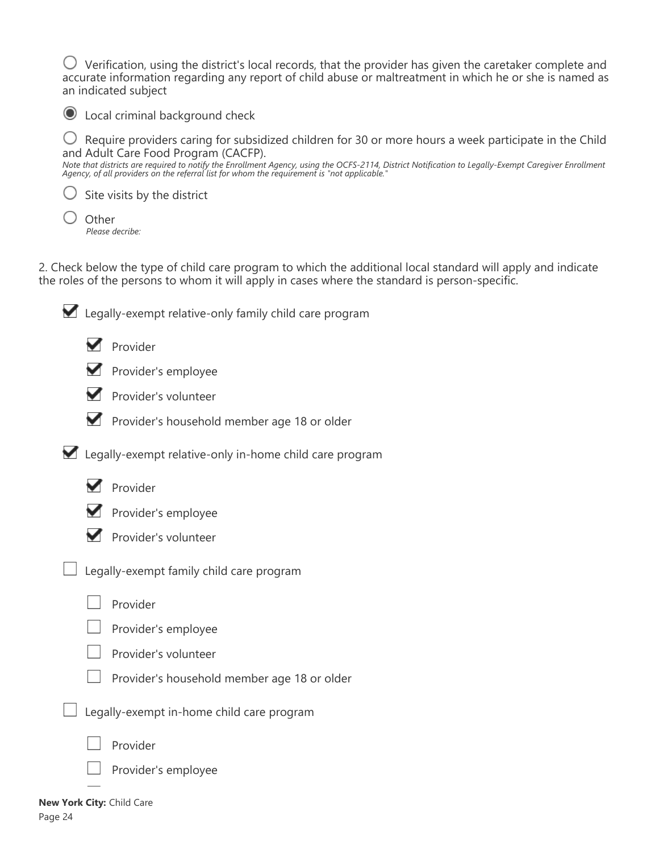$\bigcirc$  Verification, using the district's local records, that the provider has given the caretaker complete and accurate information regarding any report of child abuse or maltreatment in which he or she is named as an indicated subject

Local criminal background check

 $\bigcirc$  Require providers caring for subsidized children for 30 or more hours a week participate in the Child and Adult Care Food Program (CACFP).

*Note that districts are required to notify the Enrollment Agency, using the OCFS-2114, District Notification to Legally-Exempt Caregiver Enrollment Agency, of all providers on the referral list for whom the requirement is "not applicable."*

 $\bigcirc$  Site visits by the district

| Other           |  |
|-----------------|--|
| Please decribe: |  |

2. Check below the type of child care program to which the additional local standard will apply and indicate the roles of the persons to whom it will apply in cases where the standard is person-specific.

| Legally-exempt relative-only family child care program |                                                                                                                                                                                                                                   |  |
|--------------------------------------------------------|-----------------------------------------------------------------------------------------------------------------------------------------------------------------------------------------------------------------------------------|--|
|                                                        | Provider                                                                                                                                                                                                                          |  |
|                                                        | Provider's employee                                                                                                                                                                                                               |  |
|                                                        | Provider's volunteer                                                                                                                                                                                                              |  |
|                                                        | Provider's household member age 18 or older                                                                                                                                                                                       |  |
|                                                        | Legally-exempt relative-only in-home child care program                                                                                                                                                                           |  |
|                                                        | Provider                                                                                                                                                                                                                          |  |
|                                                        | Provider's employee                                                                                                                                                                                                               |  |
|                                                        | Provider's volunteer                                                                                                                                                                                                              |  |
|                                                        | Legally-exempt family child care program                                                                                                                                                                                          |  |
|                                                        | Provider                                                                                                                                                                                                                          |  |
|                                                        | Provider's employee                                                                                                                                                                                                               |  |
|                                                        | Provider's volunteer                                                                                                                                                                                                              |  |
|                                                        | Provider's household member age 18 or older                                                                                                                                                                                       |  |
|                                                        | $\mathbf{r}$ . The set of the set of the set of the set of the set of the set of the set of the set of the set of the set of the set of the set of the set of the set of the set of the set of the set of the set of the set of t |  |

 $\Box$  Legally-exempt in-home child care program



Provider's employee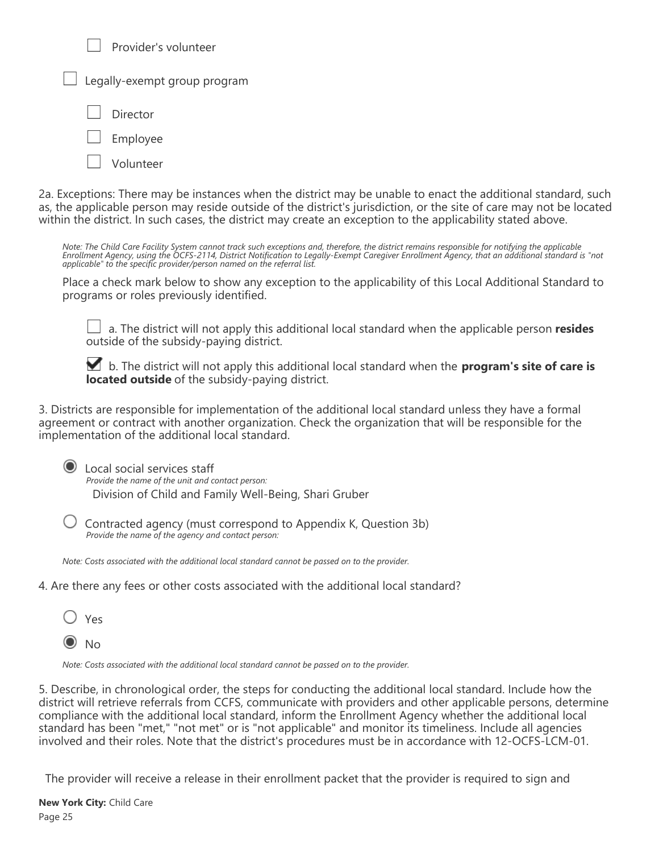| Provider's volunteer                |  |  |  |
|-------------------------------------|--|--|--|
| $\Box$ Legally-exempt group program |  |  |  |
| Director                            |  |  |  |
| $\Box$ Employee                     |  |  |  |
| Volunteer                           |  |  |  |

2a. Exceptions: There may be instances when the district may be unable to enact the additional standard, such as, the applicable person may reside outside of the district's jurisdiction, or the site of care may not be located within the district. In such cases, the district may create an exception to the applicability stated above.

*Note: The Child Care Facility System cannot track such exceptions and, therefore, the district remains responsible for notifying the applicable Enrollment Agency, using the OCFS-2114, District Notification to Legally-Exempt Caregiver Enrollment Agency, that an additional standard is "not applicable" to the specific provider/person named on the referral list.*

Place a check mark below to show any exception to the applicability of this Local Additional Standard to programs or roles previously identified.

 a. The district will not apply this additional local standard when the applicable person **resides** outside of the subsidy-paying district.

 b. The district will not apply this additional local standard when the **program's site of care is located outside** of the subsidy-paying district.

3. Districts are responsible for implementation of the additional local standard unless they have a formal agreement or contract with another organization. Check the organization that will be responsible for the implementation of the additional local standard.

| Local social services staff<br>Provide the name of the unit and contact person: |
|---------------------------------------------------------------------------------|
| Division of Child and Family Well-Being, Shari Gruber                           |

 $\bigcup$  Contracted agency (must correspond to Appendix K, Question 3b) *Provide the name of the agency and contact person:*

*Note: Costs associated with the additional local standard cannot be passed on to the provider.*

4. Are there any fees or other costs associated with the additional local standard?



*Note: Costs associated with the additional local standard cannot be passed on to the provider.*

5. Describe, in chronological order, the steps for conducting the additional local standard. Include how the district will retrieve referrals from CCFS, communicate with providers and other applicable persons, determine compliance with the additional local standard, inform the Enrollment Agency whether the additional local standard has been "met," "not met" or is "not applicable" and monitor its timeliness. Include all agencies involved and their roles. Note that the district's procedures must be in accordance with 12-OCFS-LCM-01.

The provider will receive a release in their enrollment packet that the provider is required to sign and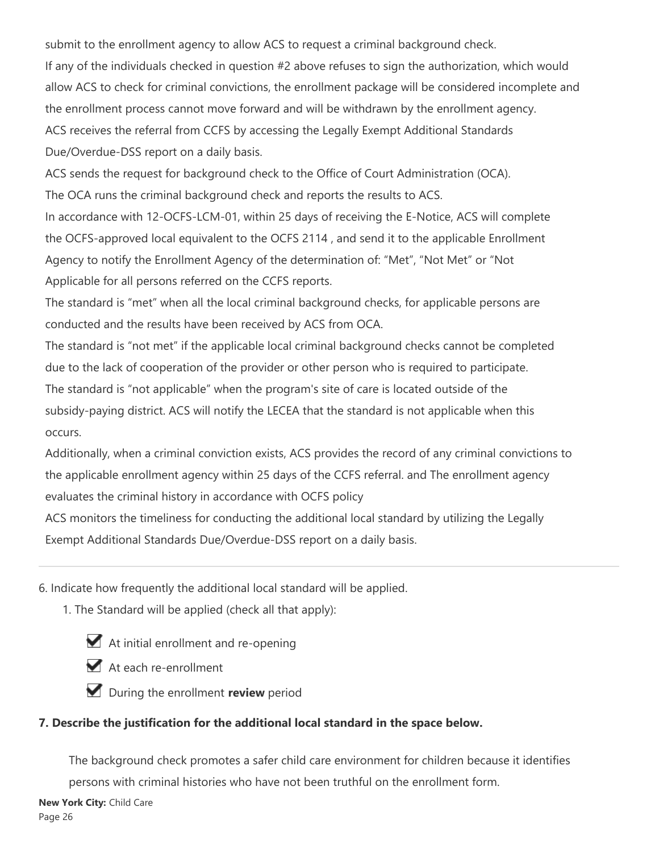submit to the enrollment agency to allow ACS to request a criminal background check.

If any of the individuals checked in question #2 above refuses to sign the authorization, which would allow ACS to check for criminal convictions, the enrollment package will be considered incomplete and the enrollment process cannot move forward and will be withdrawn by the enrollment agency. ACS receives the referral from CCFS by accessing the Legally Exempt Additional Standards Due/Overdue-DSS report on a daily basis.

ACS sends the request for background check to the Office of Court Administration (OCA). The OCA runs the criminal background check and reports the results to ACS.

In accordance with 12-OCFS-LCM-01, within 25 days of receiving the E-Notice, ACS will complete the OCFS-approved local equivalent to the OCFS 2114 , and send it to the applicable Enrollment Agency to notify the Enrollment Agency of the determination of: "Met", "Not Met" or "Not Applicable for all persons referred on the CCFS reports.

The standard is "met" when all the local criminal background checks, for applicable persons are conducted and the results have been received by ACS from OCA.

The standard is "not met" if the applicable local criminal background checks cannot be completed due to the lack of cooperation of the provider or other person who is required to participate. The standard is "not applicable" when the program's site of care is located outside of the subsidy-paying district. ACS will notify the LECEA that the standard is not applicable when this occurs.

Additionally, when a criminal conviction exists, ACS provides the record of any criminal convictions to the applicable enrollment agency within 25 days of the CCFS referral. and The enrollment agency evaluates the criminal history in accordance with OCFS policy

ACS monitors the timeliness for conducting the additional local standard by utilizing the Legally Exempt Additional Standards Due/Overdue-DSS report on a daily basis.

6. Indicate how frequently the additional local standard will be applied.

1. The Standard will be applied (check all that apply):

At initial enrollment and re-opening

At each re-enrollment

**During the enrollment review** period

## **7. Describe the justification for the additional local standard in the space below.**

The background check promotes a safer child care environment for children because it identifies persons with criminal histories who have not been truthful on the enrollment form.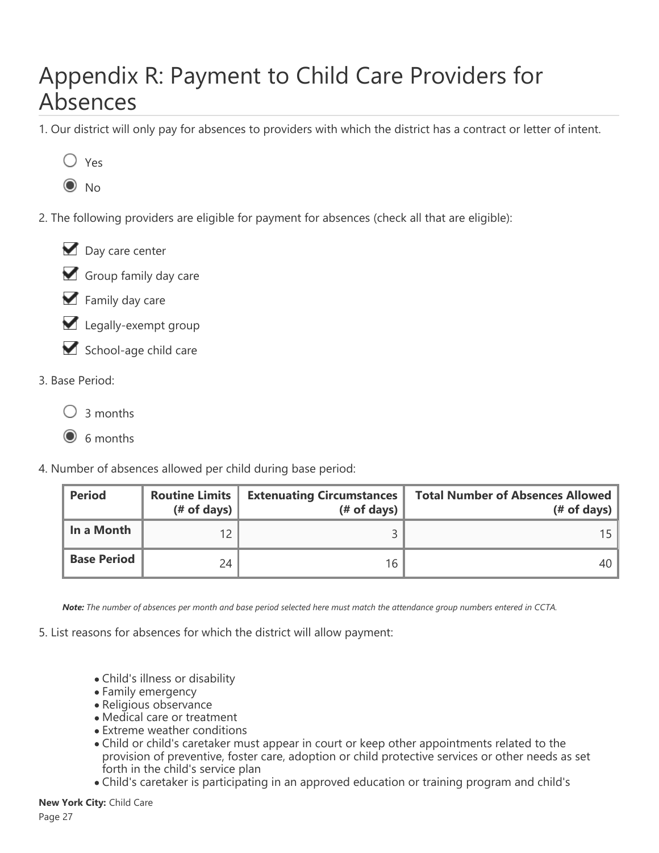## Appendix R: Payment to Child Care Providers for Absences

1. Our district will only pay for absences to providers with which the district has a contract or letter of intent.



 $\odot$  No

2. The following providers are eligible for payment for absences (check all that are eligible):





- $\blacktriangleright$  Family day care
- Legally-exempt group
- School-age child care
- 3. Base Period:
	- $\bigcirc$  3 months
	- G 6 months
- 4. Number of absences allowed per child during base period:

| <b>Period</b>      | <b>Routine Limits</b><br>$#$ of days) | <b>Extenuating Circumstances</b><br>$#$ of days) | <b>Total Number of Absences Allowed</b><br>$#$ of days) |
|--------------------|---------------------------------------|--------------------------------------------------|---------------------------------------------------------|
| In a Month         | 12                                    |                                                  | 15                                                      |
| <b>Base Period</b> | 24                                    | 16                                               | 40                                                      |

*Note: The number of absences per month and base period selected here must match the attendance group numbers entered in CCTA.*

5. List reasons for absences for which the district will allow payment:

- Child's illness or disability
- Family emergency
- Religious observance
- Medical care or treatment
- Extreme weather conditions
- Child or child's caretaker must appear in court or keep other appointments related to the provision of preventive, foster care, adoption or child protective services or other needs as set forth in the child's service plan
- Child's caretaker is participating in an approved education or training program and child's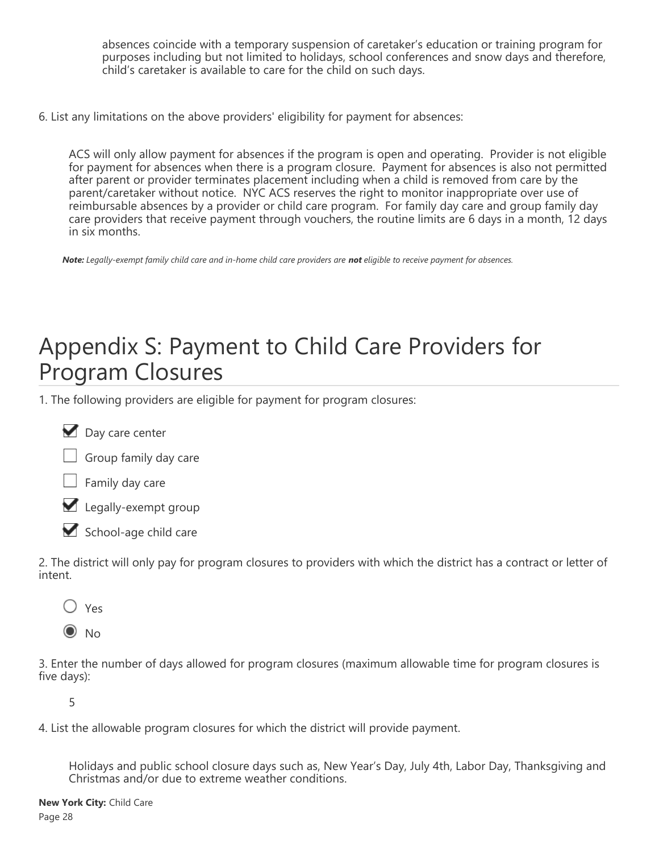absences coincide with a temporary suspension of caretaker's education or training program for purposes including but not limited to holidays, school conferences and snow days and therefore, child's caretaker is available to care for the child on such days.

6. List any limitations on the above providers' eligibility for payment for absences:

ACS will only allow payment for absences if the program is open and operating. Provider is not eligible for payment for absences when there is a program closure. Payment for absences is also not permitted after parent or provider terminates placement including when a child is removed from care by the parent/caretaker without notice. NYC ACS reserves the right to monitor inappropriate over use of reimbursable absences by a provider or child care program. For family day care and group family day care providers that receive payment through vouchers, the routine limits are 6 days in a month, 12 days in six months.

*Note: Legally-exempt family child care and in-home child care providers are not eligible to receive payment for absences.*

## Appendix S: Payment to Child Care Providers for Program Closures

1. The following providers are eligible for payment for program closures:





 $\Box$  Family day care



School-age child care

2. The district will only pay for program closures to providers with which the district has a contract or letter of intent.

- Yes
- $\odot$  No

3. Enter the number of days allowed for program closures (maximum allowable time for program closures is five days):

5

4. List the allowable program closures for which the district will provide payment.

Holidays and public school closure days such as, New Year's Day, July 4th, Labor Day, Thanksgiving and Christmas and/or due to extreme weather conditions.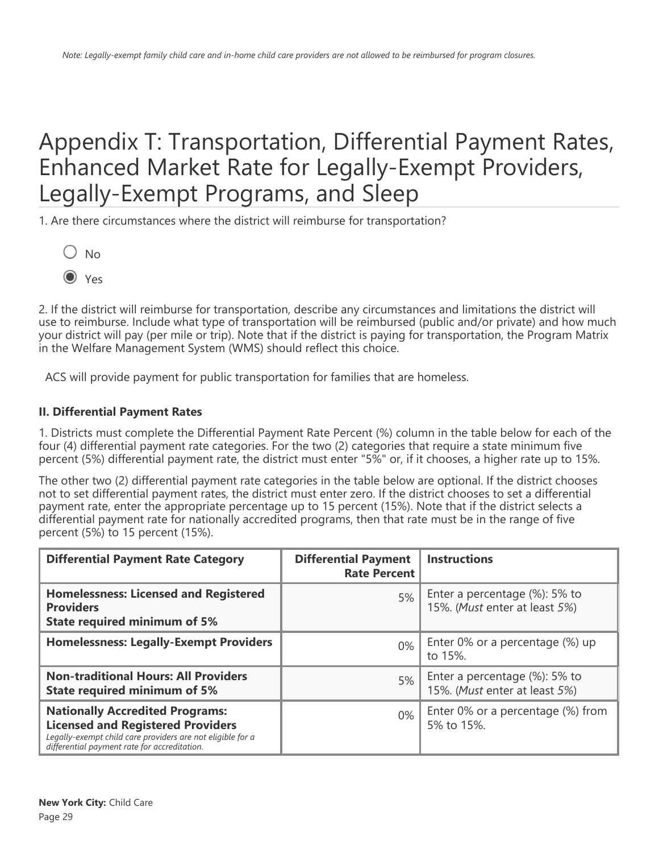## Appendix T: Transportation, Differential Payment Rates, Enhanced Market Rate for Legally-Exempt Providers, Legally-Exempt Programs, and Sleep

1. Are there circumstances where the district will reimburse for transportation?

- $O$  No
- O Yes

2. If the district will reimburse for transportation, describe any circumstances and limitations the district will use to reimburse. Include what type of transportation will be reimbursed (public and/or private) and how much your district will pay (per mile or trip). Note that if the district is paying for transportation, the Program Matrix in the Welfare Management System (WMS) should reflect this choice.

ACS will provide payment for public transportation for families that are homeless.

### **II. Differential Payment Rates**

1. Districts must complete the Differential Payment Rate Percent (%) column in the table below for each of the four (4) differential payment rate categories. For the two (2) categories that require a state minimum five percent (5%) differential payment rate, the district must enter "5%" or, if it chooses, a higher rate up to 15%.

The other two (2) differential payment rate categories in the table below are optional. If the district chooses not to set differential payment rates, the district must enter zero. If the district chooses to set a differential payment rate, enter the appropriate percentage up to 15 percent (15%). Note that if the district selects a differential payment rate for nationally accredited programs, then that rate must be in the range of five percent (5%) to 15 percent (15%).

| <b>Differential Payment Rate Category</b>                                                                                                                                                        | <b>Differential Payment</b><br><b>Rate Percent</b> | <b>Instructions</b>                                            |
|--------------------------------------------------------------------------------------------------------------------------------------------------------------------------------------------------|----------------------------------------------------|----------------------------------------------------------------|
| <b>Homelessness: Licensed and Registered</b><br><b>Providers</b><br><b>State required minimum of 5%</b>                                                                                          | 5%                                                 | Enter a percentage (%): 5% to<br>15%. (Must enter at least 5%) |
| <b>Homelessness: Legally-Exempt Providers</b>                                                                                                                                                    | $0\%$                                              | Enter 0% or a percentage (%) up<br>to 15%.                     |
| <b>Non-traditional Hours: All Providers</b><br><b>State required minimum of 5%</b>                                                                                                               | 5%                                                 | Enter a percentage (%): 5% to<br>15%. (Must enter at least 5%) |
| <b>Nationally Accredited Programs:</b><br><b>Licensed and Registered Providers</b><br>Legally-exempt child care providers are not eligible for a<br>differential payment rate for accreditation. | $0\%$                                              | Enter 0% or a percentage (%) from<br>5% to 15%.                |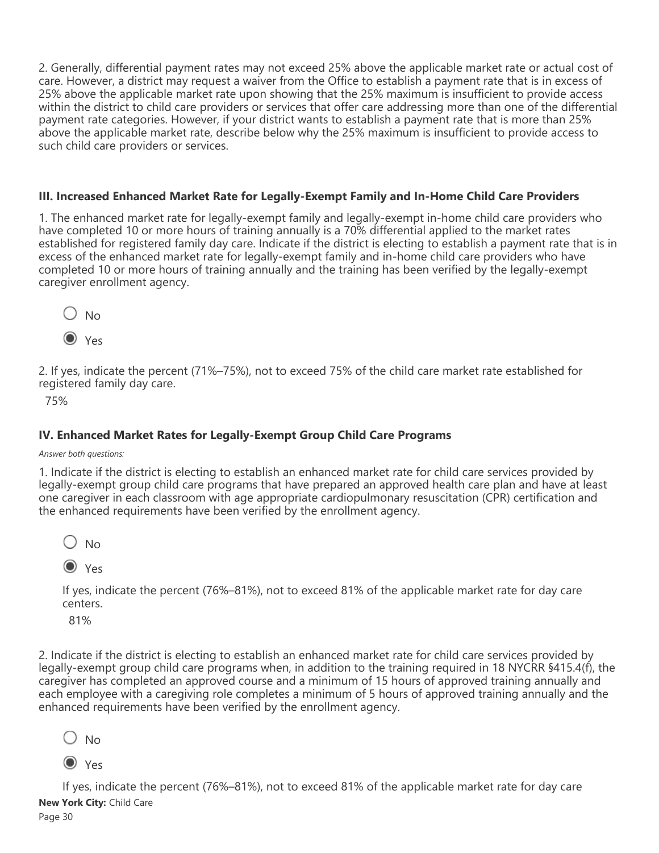2. Generally, differential payment rates may not exceed 25% above the applicable market rate or actual cost of care. However, a district may request a waiver from the Office to establish a payment rate that is in excess of 25% above the applicable market rate upon showing that the 25% maximum is insufficient to provide access within the district to child care providers or services that offer care addressing more than one of the differential payment rate categories. However, if your district wants to establish a payment rate that is more than 25% above the applicable market rate, describe below why the 25% maximum is insufficient to provide access to such child care providers or services.

#### **III. Increased Enhanced Market Rate for Legally-Exempt Family and In-Home Child Care Providers**

1. The enhanced market rate for legally-exempt family and legally-exempt in-home child care providers who have completed 10 or more hours of training annually is a 70% differential applied to the market rates established for registered family day care. Indicate if the district is electing to establish a payment rate that is in excess of the enhanced market rate for legally-exempt family and in-home child care providers who have completed 10 or more hours of training annually and the training has been verified by the legally-exempt caregiver enrollment agency.





2. If yes, indicate the percent (71%–75%), not to exceed 75% of the child care market rate established for registered family day care.

75%

## **IV. Enhanced Market Rates for Legally-Exempt Group Child Care Programs**

#### *Answer both questions:*

1. Indicate if the district is electing to establish an enhanced market rate for child care services provided by legally-exempt group child care programs that have prepared an approved health care plan and have at least one caregiver in each classroom with age appropriate cardiopulmonary resuscitation (CPR) certification and the enhanced requirements have been verified by the enrollment agency.

 $\bigcirc$  No

Yes

If yes, indicate the percent (76%–81%), not to exceed 81% of the applicable market rate for day care centers.

81%

2. Indicate if the district is electing to establish an enhanced market rate for child care services provided by legally-exempt group child care programs when, in addition to the training required in 18 NYCRR §415.4(f), the caregiver has completed an approved course and a minimum of 15 hours of approved training annually and each employee with a caregiving role completes a minimum of 5 hours of approved training annually and the enhanced requirements have been verified by the enrollment agency.

 $\bigcirc$  No

 $\odot$  Yes

If yes, indicate the percent (76%–81%), not to exceed 81% of the applicable market rate for day care **New York City:** Child Care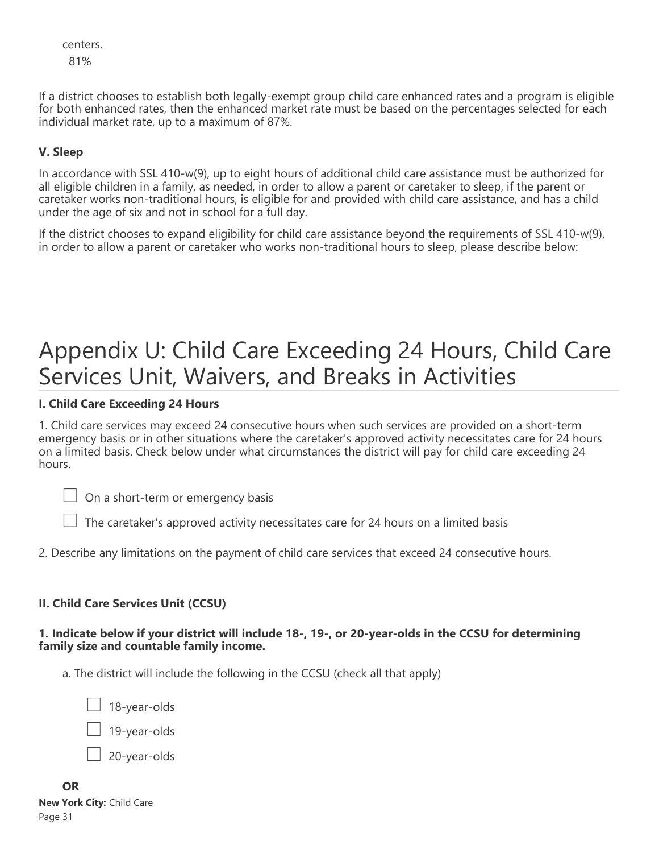centers. 81%

If a district chooses to establish both legally-exempt group child care enhanced rates and a program is eligible for both enhanced rates, then the enhanced market rate must be based on the percentages selected for each individual market rate, up to a maximum of 87%.

### **V. Sleep**

In accordance with SSL 410-w(9), up to eight hours of additional child care assistance must be authorized for all eligible children in a family, as needed, in order to allow a parent or caretaker to sleep, if the parent or caretaker works non-traditional hours, is eligible for and provided with child care assistance, and has a child under the age of six and not in school for a full day.

If the district chooses to expand eligibility for child care assistance beyond the requirements of SSL 410-w(9), in order to allow a parent or caretaker who works non-traditional hours to sleep, please describe below:

## Appendix U: Child Care Exceeding 24 Hours, Child Care Services Unit, Waivers, and Breaks in Activities

#### **I. Child Care Exceeding 24 Hours**

1. Child care services may exceed 24 consecutive hours when such services are provided on a short-term emergency basis or in other situations where the caretaker's approved activity necessitates care for 24 hours on a limited basis. Check below under what circumstances the district will pay for child care exceeding 24 hours.

 $\Box$  On a short-term or emergency basis

 $\perp$  The caretaker's approved activity necessitates care for 24 hours on a limited basis

2. Describe any limitations on the payment of child care services that exceed 24 consecutive hours.

#### **II. Child Care Services Unit (CCSU)**

#### **1. Indicate below if your district will include 18-, 19-, or 20-year-olds in the CCSU for determining family size and countable family income.**

a. The district will include the following in the CCSU (check all that apply)

18-year-olds

19-year-olds

20-year-olds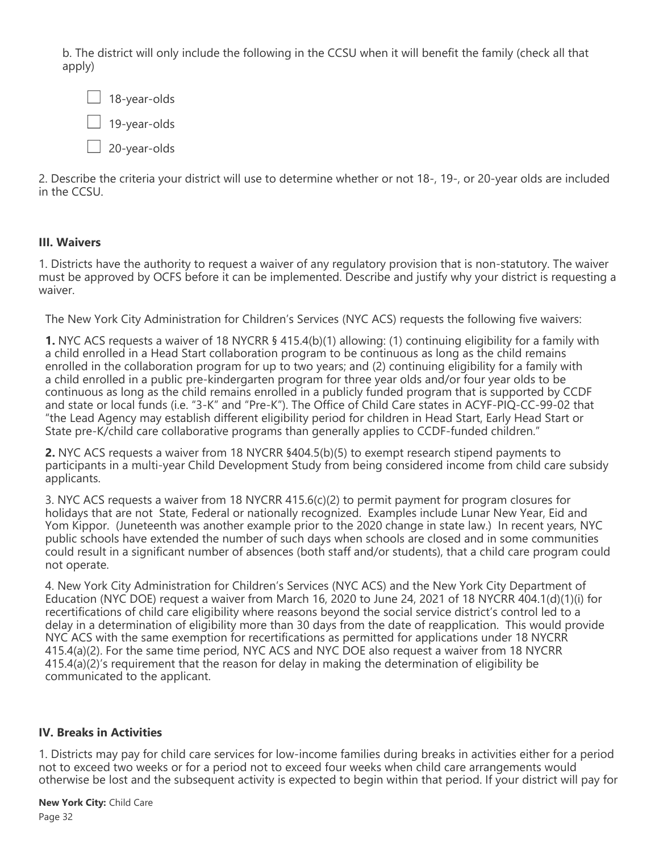b. The district will only include the following in the CCSU when it will benefit the family (check all that apply)

 $\Box$  18-year-olds 19-year-olds  $\Box$  20-year-olds

2. Describe the criteria your district will use to determine whether or not 18-, 19-, or 20-year olds are included in the CCSU.

### **III. Waivers**

1. Districts have the authority to request a waiver of any regulatory provision that is non-statutory. The waiver must be approved by OCFS before it can be implemented. Describe and justify why your district is requesting a waiver.

The New York City Administration for Children's Services (NYC ACS) requests the following five waivers:

**1.** NYC ACS requests a waiver of 18 NYCRR § 415.4(b)(1) allowing: (1) continuing eligibility for a family with a child enrolled in a Head Start collaboration program to be continuous as long as the child remains enrolled in the collaboration program for up to two years; and (2) continuing eligibility for a family with a child enrolled in a public pre-kindergarten program for three year olds and/or four year olds to be continuous as long as the child remains enrolled in a publicly funded program that is supported by CCDF and state or local funds (i.e. "3-K" and "Pre-K"). The Office of Child Care states in ACYF-PIQ-CC-99-02 that "the Lead Agency may establish different eligibility period for children in Head Start, Early Head Start or State pre-K/child care collaborative programs than generally applies to CCDF-funded children."

**2.** NYC ACS requests a waiver from 18 NYCRR §404.5(b)(5) to exempt research stipend payments to participants in a multi-year Child Development Study from being considered income from child care subsidy applicants.

3. NYC ACS requests a waiver from 18 NYCRR 415.6(c)(2) to permit payment for program closures for holidays that are not State, Federal or nationally recognized. Examples include Lunar New Year, Eid and Yom Kippor. (Juneteenth was another example prior to the 2020 change in state law.) In recent years, NYC public schools have extended the number of such days when schools are closed and in some communities could result in a significant number of absences (both staff and/or students), that a child care program could not operate.

4. New York City Administration for Children's Services (NYC ACS) and the New York City Department of Education (NYC DOE) request a waiver from March 16, 2020 to June 24, 2021 of 18 NYCRR 404.1(d)(1)(i) for recertifications of child care eligibility where reasons beyond the social service district's control led to a delay in a determination of eligibility more than 30 days from the date of reapplication. This would provide NYC ACS with the same exemption for recertifications as permitted for applications under 18 NYCRR 415.4(a)(2). For the same time period, NYC ACS and NYC DOE also request a waiver from 18 NYCRR 415.4(a)(2)'s requirement that the reason for delay in making the determination of eligibility be communicated to the applicant.

#### **IV. Breaks in Activities**

1. Districts may pay for child care services for low-income families during breaks in activities either for a period not to exceed two weeks or for a period not to exceed four weeks when child care arrangements would otherwise be lost and the subsequent activity is expected to begin within that period. If your district will pay for